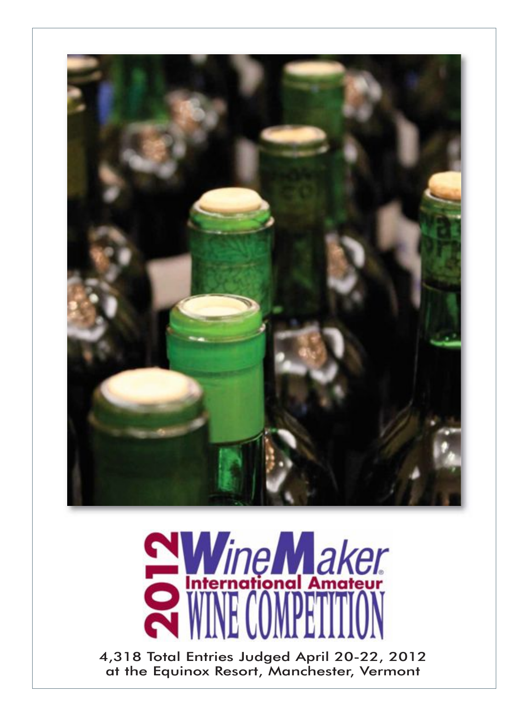



4,318 Total Entries Judged April 20-22, 2012 at the Equinox Resort, Manchester, Vermont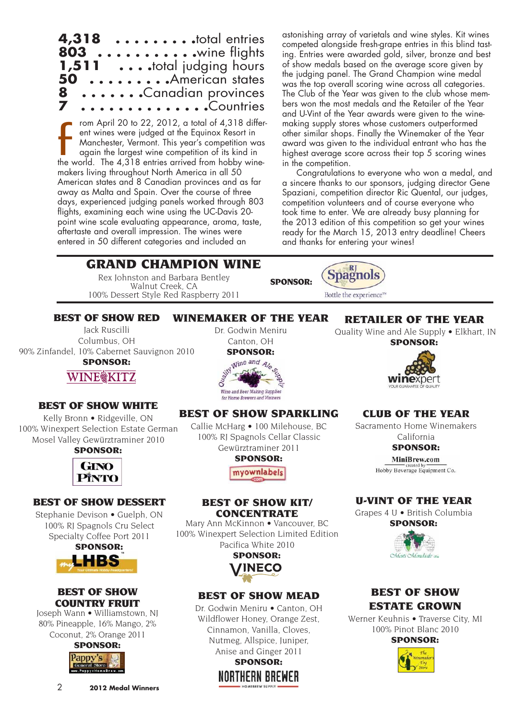| $4,318$ total entries<br>803  wine flights       |  |
|--------------------------------------------------|--|
| 1,511  total judging hours<br>50 American states |  |
| 8 Canadian provinces<br>7 Countries              |  |

rom April 20 to 22, 2012, a total of 4,318 different wines were judged at the Equinox Resort in Manchester, Vermont. This year's competition was again the largest wine competition of its kind in from April 20 to 22, 2012, a total of 4,318 different wines were judged at the Equinox Resort in Manchester, Vermont. This year's competition was again the largest wine competition of its kind in the world. The 4,318 entri makers living throughout North America in all 50 American states and 8 Canadian provinces and as far away as Malta and Spain. Over the course of three days, experienced judging panels worked through 803 flights, examining each wine using the UC-Davis 20 point wine scale evaluating appearance, aroma, taste, aftertaste and overall impression. The wines were entered in 50 different categories and included an

astonishing array of varietals and wine styles. Kit wines competed alongside fresh-grape entries in this blind tasting. Entries were awarded gold, silver, bronze and best of show medals based on the average score given by the judging panel. The Grand Champion wine medal was the top overall scoring wine across all categories. The Club of the Year was given to the club whose members won the most medals and the Retailer of the Year and U-Vint of the Year awards were given to the winemaking supply stores whose customers outperformed other similar shops. Finally the Winemaker of the Year award was given to the individual entrant who has the highest average score across their top 5 scoring wines in the competition.

Congratulations to everyone who won a medal, and a sincere thanks to our sponsors, judging director Gene Spaziani, competition director Ric Quental, our judges, competition volunteers and of course everyone who took time to enter. We are already busy planning for the 2013 edition of this competition so get your wines ready for the March 15, 2013 entry deadline! Cheers and thanks for entering your wines!

## GRAND CHAMPION WINE

Rex Johnston and Barbara Bentley Walnut Creek, CA 100% Dessert Style Red Raspberry 2011



BEST OF SHOW RED

Jack Ruscilli Columbus, OH 90% Zinfandel, 10% Cabernet Sauvignon 2010 SPONSOR:

Dr. Godwin Meniru Canton, OH SPONSOR:



WINEMAKER OF THE YEAR

#### BEST OF SHOW WHITE

WINE@KITZ

Kelly Bronn • Ridgeville, ON 100% Winexpert Selection Estate German Mosel Valley Gewürztraminer 2010

## SPONSOR: GINO PINTO

## BEST OF SHOW DESSERT

Stephanie Devison • Guelph, ON 100% RJ Spagnols Cru Select Specialty Coffee Port 2011



## BEST OF SHOW COUNTRY FRUIT

Joseph Wann • Williamstown, NJ 80% Pineapple, 16% Mango, 2% Coconut, 2% Orange 2011



# for Home Brewers and Vintners

## BEST OF SHOW SPARKLING

Callie McHarg • 100 Milehouse, BC 100% RJ Spagnols Cellar Classic Gewürztraminer 2011 SPONSOR:

myownlabels

#### BEST OF SHOW KIT/ **CONCENTRATE**

Mary Ann McKinnon • Vancouver, BC 100% Winexpert Selection Limited Edition Pacifica White 2010



## BEST OF SHOW MEAD

Dr. Godwin Meniru • Canton, OH Wildflower Honey, Orange Zest, Cinnamon, Vanilla, Cloves, Nutmeg, Allspice, Juniper, Anise and Ginger 2011 SPONSOR: Northern Brewer

## RETAILER OF THE YEAR

Quality Wine and Ale Supply • Elkhart, IN





## CLUB OF THE YEAR

Sacramento Home Winemakers California

SPONSOR:

MiniBrew.com

Hobby Beverage Equipment Co.

## U-VINT OF THE YEAR

Grapes 4 U • British Columbia

SPONSOR:



## BEST OF SHOW ESTATE GROWN

Werner Keuhnis • Traverse City, MI 100% Pinot Blanc 2010

SPONSOR:

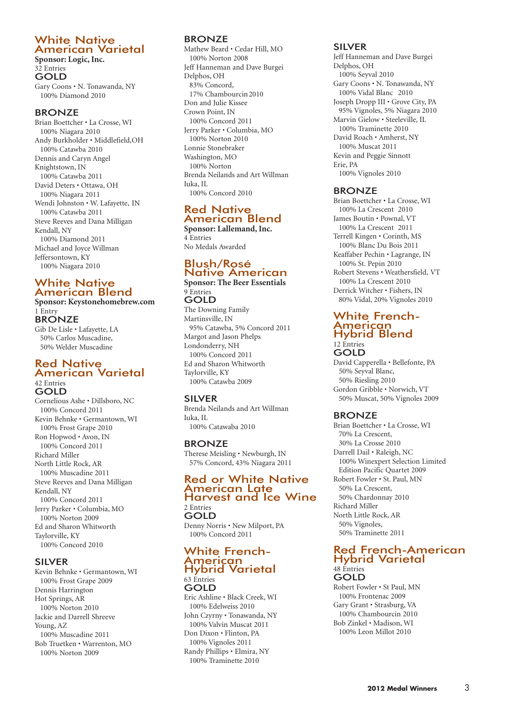## White Native American Varietal

**Sponsor: Logic, Inc.** 32 Entries GOLD Gary Coons • N. Tonawanda, NY 100% Diamond 2010

## **BRONZE**

Brian Boettcher • La Crosse, WI 100% Niagara 2010 Andy Burkholder • Middlefield,OH 100% Catawba 2010 Dennis and Caryn Angel Knightstown, IN 100% Catawba 2011 David Deters • Ottawa, OH 100% Niagara 2011 Wendi Johnston • W. Lafayette, IN 100% Catawba 2011 Steve Reeves and Dana Milligan Kendall, NY 100% Diamond 2011 Michael and Joyce Willman Jeffersontown, KY 100% Niagara 2010

## White Native American Blend

**Sponsor: Keystonehomebrew.com** 1 Entry BRONZE

Gib De Lisle • Lafayette, LA 50% Carlos Muscadine, 50% Welder Muscadine

#### Red Native American Varietal 42 Entries **GOLD**

Cornelious Ashe • Dillsboro, NC 100% Concord 2011 Kevin Behnke • Germantown, WI 100% Frost Grape 2010 Ron Hopwod • Avon, IN 100% Concord 2011 Richard Miller North Little Rock, AR 100% Muscadine 2011 Steve Reeves and Dana Milligan Kendall, NY 100% Concord 2011 Jerry Parker • Columbia, MO 100% Norton 2009 Ed and Sharon Whitworth Taylorville, KY 100% Concord 2010

#### SILVER

Kevin Behnke • Germantown, WI 100% Frost Grape 2009 Dennis Harrington Hot Springs, AR 100% Norton 2010 Jackie and Darrell Shreeve Young, AZ 100% Muscadine 2011 Bob Truetken • Warrenton, MO 100% Norton 2009

## **BRONZE**

Mathew Beard • Cedar Hill, MO 100% Norton 2008 Jeff Hanneman and Dave Burgei Delphos, OH 83% Concord, 17% Chambourcin2010 Don and Julie Kissee Crown Point, IN 100% Concord 2011 Jerry Parker • Columbia, MO 100% Norton 2010 Lonnie Stonebraker Washington, MO 100% Norton Brenda Neilands and Art Willman Iuka, IL 100% Concord 2010

#### Red Native American Blend **Sponsor: Lallemand, Inc.**

4 Entries No Medals Awarded

#### Blush/Rosé Native American **Sponsor: The Beer Essentials**

#### 9 Entries GOLD

The Downing Family Martinsville, IN 95% Catawba, 5% Concord 2011 Margot and Jason Phelps Londonderry, NH 100% Concord 2011 Ed and Sharon Whitworth Taylorville, KY 100% Catawba 2009

## SILVER

Brenda Neilands and Art Willman Iuka, IL 100% Catawaba 2010

## BRONZE

Therese Meisling • Newburgh, IN 57% Concord, 43% Niagara 2011

#### Red or White Native American Late Harvest and Ice Wine 2 Entries

GOLD Denny Norris • New Milport, PA 100% Concord 2011

#### White French-American Hybrid Varietal 63 Entries

GOLD Eric Ashline • Black Creek, WI 100% Edelweiss 2010 John Czyrny • Tonawanda, NY 100% Valvin Muscat 2011 Don Dixon • Flinton, PA 100% Vignoles 2011 Randy Phillips • Elmira, NY 100% Traminette 2010

#### SILVER

Jeff Hanneman and Dave Burgei Delphos, OH 100% Seyval 2010 Gary Coons • N. Tonawanda, NY 100% Vidal Blanc 2010 Joseph Dropp III • Grove City, PA 95% Vignoles, 5% Niagara 2010 Marvin Gielow • Steeleville, IL 100% Traminette 2010 David Roach • Amherst, NY 100% Muscat 2011 Kevin and Peggie Sinnott Erie, PA 100% Vignoles 2010

## BRONZE

Brian Boettcher • La Crosse, WI 100% La Crescent 2010 James Boutin • Pownal, VT 100% La Crescent 2011 Terrell Kingen • Corinth, MS 100% Blanc Du Bois 2011 Keaffaber Pechin • Lagrange, IN 100% St. Pepin 2010 Robert Stevens • Weathersfield, VT 100% La Crescent 2010 Derrick Witcher • Fishers, IN 80% Vidal, 20% Vignoles 2010

#### White Frenchwillie 11 ci<br>American Hybrid Blend 12 Entries **GOLD**

David Capperella • Bellefonte, PA 50% Seyval Blanc, 50% Riesling 2010 Gordon Gribble • Norwich, VT 50% Muscat, 50% Vignoles 2009

## **BRONZE**

Brian Boettcher • La Crosse, WI 70% La Crescent, 30% La Crosse 2010 Darrell Dail • Raleigh, NC 100% Winexpert Selection Limited Edition Pacific Quartet 2009 Robert Fowler • St. Paul, MN 50% La Crescent, 50% Chardonnay 2010 Richard Miller North Little Rock, AR 50% Vignoles, 50% Traminette 2011

#### Red French-American Hybrid Varietal 48 Entries GOLD

Robert Fowler • St Paul, MN 100% Frontenac 2009 Gary Grant • Strasburg, VA 100% Chambourcin 2010 Bob Zinkel • Madison, WI 100% Leon Millot 2010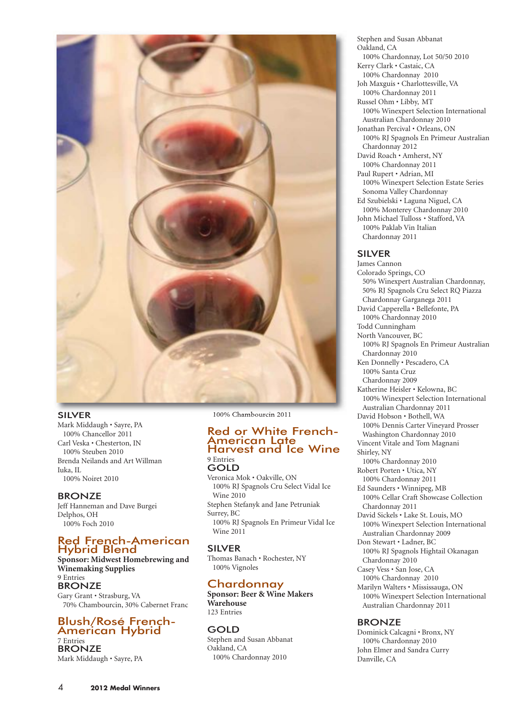

#### SILVER

Mark Middaugh • Sayre, PA 100% Chancellor 2011 Carl Veska • Chesterton, IN 100% Steuben 2010 Brenda Neilands and Art Willman Iuka, IL 100% Noiret 2010

#### BRONZE

Jeff Hanneman and Dave Burgei Delphos, OH 100% Foch 2010

#### Red French-American Hybrid Blend

**Sponsor: Midwest Homebrewing and Winemaking Supplies** 9 Entries BRONZE Gary Grant • Strasburg, VA 70% Chambourcin, 30% Cabernet Franc

## Blush/Rosé French-American Hybrid

7 Entries BRONZE Mark Middaugh • Sayre, PA 100% Chambourcin 2011

#### Red or White French-American Late Harvest and Ice Wine 9 Entries

GOLD Veronica Mok • Oakville, ON 100% RJ Spagnols Cru Select Vidal Ice Wine 2010 Stephen Stefanyk and Jane Petruniak Surrey, BC 100% RJ Spagnols En Primeur Vidal Ice Wine 2011

## SILVER

Thomas Banach • Rochester, NY 100% Vignoles

## Chardonnay

**Sponsor: Beer & Wine Makers Warehouse** 123 Entries

GOLD Stephen and Susan Abbanat Oakland, CA 100% Chardonnay 2010

Stephen and Susan Abbanat Oakland, CA 100% Chardonnay, Lot 50/50 2010 Kerry Clark • Castaic, CA 100% Chardonnay 2010 Joh Maxguis • Charlottesville, VA 100% Chardonnay 2011 Russel Ohm • Libby, MT 100% Winexpert Selection International Australian Chardonnay 2010 Jonathan Percival • Orleans, ON 100% RJ Spagnols En Primeur Australian Chardonnay 2012 David Roach • Amherst, NY 100% Chardonnay 2011 Paul Rupert • Adrian, MI 100% Winexpert Selection Estate Series Sonoma Valley Chardonnay Ed Szubielski • Laguna Niguel, CA 100% Monterey Chardonnay 2010 John Michael Tulloss • Stafford, VA 100% Paklab Vin Italian Chardonnay 2011

#### SILVER

James Cannon Colorado Springs, CO 50% Winexpert Australian Chardonnay, 50% RJ Spagnols Cru Select RQ Piazza Chardonnay Garganega 2011 David Capperella • Bellefonte, PA 100% Chardonnay 2010 Todd Cunningham North Vancouver, BC 100% RJ Spagnols En Primeur Australian Chardonnay 2010 Ken Donnelly • Pescadero, CA 100% Santa Cruz Chardonnay 2009 Katherine Heisler • Kelowna, BC 100% Winexpert Selection International Australian Chardonnay 2011 David Hobson • Bothell, WA 100% Dennis Carter Vineyard Prosser Washington Chardonnay 2010 Vincent Vitale and Tom Magnani Shirley, NY 100% Chardonnay 2010 Robert Porten • Utica, NY 100% Chardonnay 2011 Ed Saunders • Winnipeg, MB 100% Cellar Craft Showcase Collection Chardonnay 2011 David Sickels • Lake St. Louis, MO 100% Winexpert Selection International Australian Chardonnay 2009 Don Stewart • Ladner, BC 100% RJ Spagnols Hightail Okanagan Chardonnay 2010 Casey Vess • San Jose, CA 100% Chardonnay 2010 Marilyn Walters • Mississauga, ON 100% Winexpert Selection International Australian Chardonnay 2011

#### BRONZE

Dominick Calcagni • Bronx, NY 100% Chardonnay 2010 John Elmer and Sandra Curry Danville, CA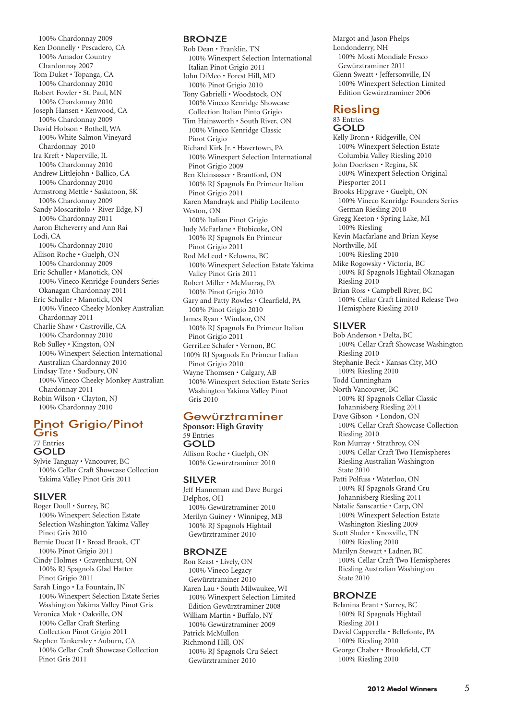100% Chardonnay 2009 Ken Donnelly • Pescadero, CA 100% Amador Country Chardonnay 2007 Tom Duket • Topanga, CA 100% Chardonnay 2010 Robert Fowler • St. Paul, MN 100% Chardonnay 2010 Joseph Hansen • Kenwood, CA 100% Chardonnay 2009 David Hobson • Bothell, WA 100% White Salmon Vineyard Chardonnay 2010 Ira Kreft • Naperville, IL 100% Chardonnay 2010 Andrew Littlejohn • Ballico, CA 100% Chardonnay 2010 Armstrong Mettle • Saskatoon, SK 100% Chardonnay 2009 Sandy Moscaritolo • River Edge, NJ 100% Chardonnay 2011 Aaron Etcheverry and Ann Rai Lodi, CA 100% Chardonnay 2010 Allison Roche • Guelph, ON 100% Chardonnay 2009 Eric Schuller • Manotick, ON 100% Vineco Kenridge Founders Series Okanagan Chardonnay 2011 Eric Schuller • Manotick, ON 100% Vineco Cheeky Monkey Australian Chardonnay 2011 Charlie Shaw • Castroville, CA 100% Chardonnay 2010 Rob Sulley • Kingston, ON 100% Winexpert Selection International Australian Chardonnay 2010 Lindsay Tate • Sudbury, ON 100% Vineco Cheeky Monkey Australian Chardonnay 2011 Robin Wilson • Clayton, NJ 100% Chardonnay 2010

#### Pinot Grigio/Pinot Gris 77 Entries GOLD

Sylvie Tanguay • Vancouver, BC 100% Cellar Craft Showcase Collection Yakima Valley Pinot Gris 2011

#### SILVER

- Roger Doull Surrey, BC 100% Winexpert Selection Estate Selection Washington Yakima Valley Pinot Gris 2010
- Bernie Ducat II Broad Brook, CT 100% Pinot Grigio 2011
- Cindy Holmes Gravenhurst, ON 100% RJ Spagnols Glad Hatter Pinot Grigio 2011
- Sarah Lingo La Fountain, IN 100% Winexpert Selection Estate Series Washington Yakima Valley Pinot Gris Veronica Mok • Oakville, ON
- 100% Cellar Craft Sterling Collection Pinot Grigio 2011
- Stephen Tankersley Auburn, CA 100% Cellar Craft Showcase Collection Pinot Gris 2011

#### **BRONZE**

Rob Dean • Franklin, TN 100% Winexpert Selection International Italian Pinot Grigio 2011 John DiMeo • Forest Hill, MD 100% Pinot Grigio 2010 Tony Gabrielli • Woodstock, ON 100% Vineco Kenridge Showcase Collection Italian Pinto Grigio Tim Hainsworth • South River, ON 100% Vineco Kenridge Classic Pinot Grigio Richard Kirk Jr. • Havertown, PA 100% Winexpert Selection International Pinot Grigio 2009 Ben Kleinsasser • Brantford, ON 100% RJ Spagnols En Primeur Italian Pinot Grigio 2011 Karen Mandrayk and Philip Locilento Weston, ON 100% Italian Pinot Grigio Judy McFarlane • Etobicoke, ON 100% RJ Spagnols En Primeur Pinot Grigio 2011 Rod McLeod • Kelowna, BC 100% Winexpert Selection Estate Yakima Valley Pinot Gris 2011 Robert Miller • McMurray, PA 100% Pinot Grigio 2010 Gary and Patty Rowles • Clearfield, PA 100% Pinot Grigio 2010 James Ryan • Windsor, ON 100% RJ Spagnols En Primeur Italian Pinot Grigio 2011 GerriLee Schafer • Vernon, BC 100% RJ Spagnols En Primeur Italian Pinot Grigio 2010 Wayne Thomsen • Calgary, AB 100% Winexpert Selection Estate Series Washington Yakima Valley Pinot Gris 2010

#### Gewürztraminer

**Sponsor: High Gravity** 59 Entries GOLD Allison Roche • Guelph, ON 100% Gewürztraminer 2010

#### SILVER

Jeff Hanneman and Dave Burgei Delphos, OH 100% Gewürztraminer 2010 Merilyn Guiney • Winnipeg, MB 100% RJ Spagnols Hightail Gewürztraminer 2010

#### BRONZE

Ron Keast • Lively, ON 100% Vineco Legacy Gewürztraminer 2010 Karen Lau • South Milwaukee, WI 100% Winexpert Selection Limited Edition Gewürztraminer 2008 William Martin • Buffalo, NY 100% Gewürztraminer 2009 Patrick McMullon Richmond Hill, ON 100% RJ Spagnols Cru Select Gewürztraminer 2010

Margot and Jason Phelps Londonderry, NH 100% Mosti Mondiale Fresco Gewürztraminer 2011 Glenn Sweatt • Jeffersonville, IN 100% Winexpert Selection Limited Edition Gewürztraminer 2006 Riesling 83 Entries GOLD Kelly Bronn • Ridgeville, ON 100% Winexpert Selection Estate Columbia Valley Riesling 2010 John Doerksen • Regina, SK 100% Winexpert Selection Original Piesporter 2011 Brooks Hipgrave • Guelph, ON 100% Vineco Kenridge Founders Series German Riesling 2010 Gregg Keeton • Spring Lake, MI 100% Riesling Kevin Macfarlane and Brian Keyse Northville, MI 100% Riesling 2010 Mike Rogowsky • Victoria, BC 100% RJ Spagnols Hightail Okanagan Riesling 2010 Brian Ross • Campbell River, BC 100% Cellar Craft Limited Release Two

#### SILVER

Hemisphere Riesling 2010

Bob Anderson • Delta, BC 100% Cellar Craft Showcase Washington Riesling 2010 Stephanie Beck • Kansas City, MO 100% Riesling 2010 Todd Cunningham North Vancouver, BC 100% RJ Spagnols Cellar Classic Johannisberg Riesling 2011 Dave Gibson • London, ON 100% Cellar Craft Showcase Collection Riesling 2010 Ron Murray • Strathroy, ON 100% Cellar Craft Two Hemispheres Riesling Australian Washington State 2010 Patti Polfuss • Waterloo, ON 100% RJ Spagnols Grand Cru Johannisberg Riesling 2011 Natalie Sanscartie • Carp, ON 100% Winexpert Selection Estate Washington Riesling 2009 Scott Sluder • Knoxville, TN 100% Riesling 2010 Marilyn Stewart • Ladner, BC 100% Cellar Craft Two Hemispheres Riesling Australian Washington State 2010

#### BRONZE

Belanina Brant • Surrey, BC 100% RJ Spagnols Hightail Riesling 2011 David Capperella • Bellefonte, PA 100% Riesling 2010 George Chaber • Brookfield, CT 100% Riesling 2010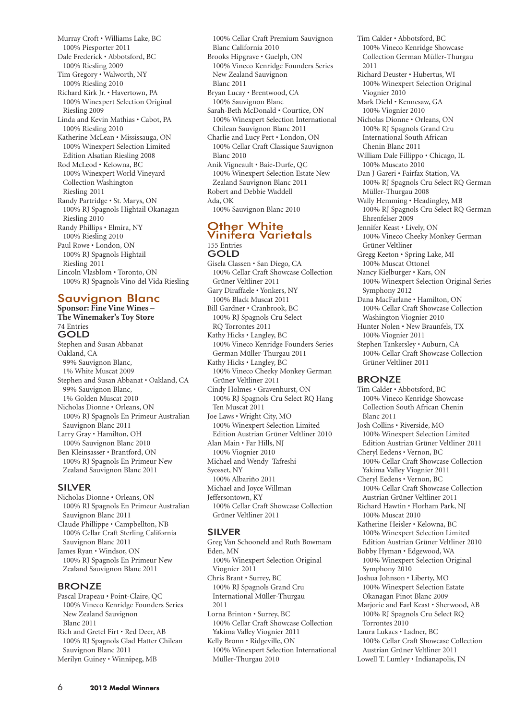- Murray Croft Williams Lake, BC 100% Piesporter 2011 Dale Frederick • Abbotsford, BC 100% Riesling 2009
- Tim Gregory Walworth, NY 100% Riesling 2010
- Richard Kirk Jr. Havertown, PA 100% Winexpert Selection Original Riesling 2009
- Linda and Kevin Mathias Cabot, PA 100% Riesling 2010
- Katherine McLean Mississauga, ON 100% Winexpert Selection Limited Edition Alsatian Riesling 2008
- Rod McLeod Kelowna, BC 100% Winexpert World Vineyard Collection Washington Riesling 2011 Randy Partridge • St. Marys, ON 100% RJ Spagnols Hightail Okanagan Riesling 2010 Randy Phillips • Elmira, NY 100% Riesling 2010 Paul Rowe • London, ON
- 100% RJ Spagnols Hightail Riesling 2011 Lincoln Vlasblom • Toronto, ON 100% RJ Spagnols Vino del Vida Riesling

## Sauvignon Blanc

**Sponsor: Fine Vine Wines – The Winemaker's Toy Store** 74 Entries GOLD Stephen and Susan Abbanat

Oakland, CA 99% Sauvignon Blanc, 1% White Muscat 2009 Stephen and Susan Abbanat • Oakland, CA 99% Sauvignon Blanc, 1% Golden Muscat 2010 Nicholas Dionne • Orleans, ON 100% RJ Spagnols En Primeur Australian Sauvignon Blanc 2011 Larry Gray • Hamilton, OH 100% Sauvignon Blanc 2010 Ben Kleinsasser • Brantford, ON 100% RJ Spagnols En Primeur New Zealand Sauvignon Blanc 2011

#### SILVER

Nicholas Dionne • Orleans, ON 100% RJ Spagnols En Primeur Australian Sauvignon Blanc 2011 Claude Phillippe • Campbellton, NB 100% Cellar Craft Sterling California Sauvignon Blanc 2011 James Ryan • Windsor, ON 100% RJ Spagnols En Primeur New Zealand Sauvignon Blanc 2011

#### BRONZE

Pascal Drapeau • Point-Claire, QC 100% Vineco Kenridge Founders Series New Zealand Sauvignon Blanc 2011 Rich and Gretel Firt • Red Deer, AB 100% RJ Spagnols Glad Hatter Chilean Sauvignon Blanc 2011 Merilyn Guiney • Winnipeg, MB

100% Cellar Craft Premium Sauvignon Blanc California 2010 Brooks Hipgrave • Guelph, ON 100% Vineco Kenridge Founders Series New Zealand Sauvignon Blanc 2011 Bryan Lucay • Brentwood, CA 100% Sauvignon Blanc Sarah-Beth McDonald • Courtice, ON 100% Winexpert Selection International Chilean Sauvignon Blanc 2011 Charlie and Lucy Pert • London, ON 100% Cellar Craft Classique Sauvignon Blanc 2010 Anik Vigneault • Baie-Durfe, QC 100% Winexpert Selection Estate New

Zealand Sauvignon Blanc 2011 Robert and Debbie Waddell Ada, OK

100% Sauvignon Blanc 2010

#### Other White Vinifera Varietals 155 Entries GOLD

Gisela Classen • San Diego, CA 100% Cellar Craft Showcase Collection Grüner Veltliner 2011 Gary Diraffaele • Yonkers, NY 100% Black Muscat 2011 Bill Gardner • Cranbrook, BC 100% RJ Spagnols Cru Select RQ Torrontes 2011 Kathy Hicks • Langley, BC 100% Vineco Kenridge Founders Series German Müller-Thurgau 2011 Kathy Hicks • Langley, BC 100% Vineco Cheeky Monkey German Grüner Veltliner 2011 Cindy Holmes • Gravenhurst, ON 100% RJ Spagnols Cru Select RQ Hang Ten Muscat 2011 Joe Laws • Wright City, MO 100% Winexpert Selection Limited Edition Austrian Grüner Veltliner 2010 Alan Main • Far Hills, NJ 100% Viognier 2010 Michael and Wendy Tafreshi Syosset, NY 100% Albariño 2011 Michael and Joyce Willman Jeffersontown, KY 100% Cellar Craft Showcase Collection Grüner Veltliner 2011

## SILVER

Greg Van Schooneld and Ruth Bowmam Eden, MN 100% Winexpert Selection Original Viognier 2011 Chris Brant • Surrey, BC 100% RJ Spagnols Grand Cru International Müller-Thurgau 2011 Lorna Brinton • Surrey, BC 100% Cellar Craft Showcase Collection Yakima Valley Viognier 2011 Kelly Bronn • Ridgeville, ON 100% Winexpert Selection International Müller-Thurgau 2010

Tim Calder • Abbotsford, BC 100% Vineco Kenridge Showcase Collection German Müller-Thurgau 2011 Richard Deuster • Hubertus, WI 100% Winexpert Selection Original Viognier 2010 Mark Diehl • Kennesaw, GA 100% Viognier 2010 Nicholas Dionne • Orleans, ON 100% RJ Spagnols Grand Cru International South African Chenin Blanc 2011 William Dale Fillippo • Chicago, IL 100% Muscato 2010 Dan J Gareri • Fairfax Station, VA 100% RJ Spagnols Cru Select RQ German Müller-Thurgau 2008 Wally Hemming • Headingley, MB 100% RJ Spagnols Cru Select RQ German Ehrenfelser 2009 Jennifer Keast • Lively, ON 100% Vineco Cheeky Monkey German Grüner Veltliner Gregg Keeton • Spring Lake, MI 100% Muscat Ottonel Nancy Kielburger • Kars, ON 100% Winexpert Selection Original Series Symphony 2012 Dana MacFarlane • Hamilton, ON 100% Cellar Craft Showcase Collection Washington Viognier 2010 Hunter Nolen • New Braunfels, TX 100% Viognier 2011 Stephen Tankersley • Auburn, CA 100% Cellar Craft Showcase Collection Grüner Veltliner 2011

#### **BRONZE**

Tim Calder • Abbotsford, BC 100% Vineco Kenridge Showcase Collection South African Chenin Blanc 2011 Josh Collins • Riverside, MO 100% Winexpert Selection Limited Edition Austrian Grüner Veltliner 2011 Cheryl Eedens • Vernon, BC 100% Cellar Craft Showcase Collection Yakima Valley Viognier 2011 Cheryl Eedens • Vernon, BC 100% Cellar Craft Showcase Collection Austrian Grüner Veltliner 2011 Richard Hawtin • Florham Park, NJ 100% Muscat 2010 Katherine Heisler • Kelowna, BC 100% Winexpert Selection Limited Edition Austrian Grüner Veltliner 2010 Bobby Hyman • Edgewood, WA 100% Winexpert Selection Original Symphony 2010 Joshua Johnson • Liberty, MO 100% Winexpert Selection Estate Okanagan Pinot Blanc 2009 Marjorie and Earl Keast • Sherwood, AB 100% RJ Spagnols Cru Select RQ Torrontes 2010 Laura Lukacs • Ladner, BC 100% Cellar Craft Showcase Collection Austrian Grüner Veltliner 2011 Lowell T. Lumley • Indianapolis, IN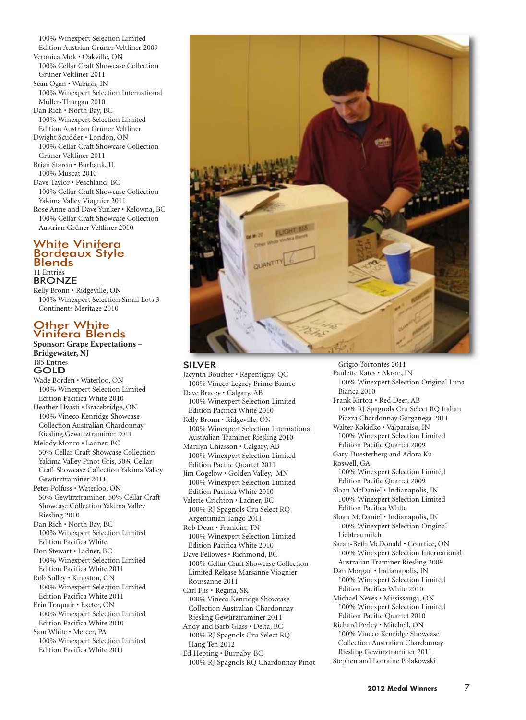100% Winexpert Selection Limited Edition Austrian Grüner Veltliner 2009 Veronica Mok • Oakville, ON 100% Cellar Craft Showcase Collection Grüner Veltliner 2011 Sean Ogan • Wabash, IN 100% Winexpert Selection International Müller-Thurgau 2010 Dan Rich • North Bay, BC 100% Winexpert Selection Limited Edition Austrian Grüner Veltliner Dwight Scudder • London, ON 100% Cellar Craft Showcase Collection Grüner Veltliner 2011 Brian Staron • Burbank, IL 100% Muscat 2010 Dave Taylor • Peachland, BC 100% Cellar Craft Showcase Collection Yakima Valley Viognier 2011 Rose Anne and Dave Yunker • Kelowna, BC 100% Cellar Craft Showcase Collection Austrian Grüner Veltliner 2010

#### White Vinifera Bordeaux Style Blends 11 Entries **BRONZE**

Kelly Bronn • Ridgeville, ON 100% Winexpert Selection Small Lots 3 Continents Meritage 2010

## **Other White** Vinifera Blends

**Sponsor: Grape Expectations – Bridgewater, NJ** 185 Entries

GOLD Wade Borden • Waterloo, ON 100% Winexpert Selection Limited Edition Pacifica White 2010 Heather Hvasti • Bracebridge, ON 100% Vineco Kenridge Showcase Collection Australian Chardonnay Riesling Gewürztraminer 2011 Melody Monro • Ladner, BC

50% Cellar Craft Showcase Collection Yakima Valley Pinot Gris, 50% Cellar Craft Showcase Collection Yakima Valley Gewürztraminer 2011

Peter Polfuss • Waterloo, ON 50% Gewürztraminer, 50% Cellar Craft Showcase Collection Yakima Valley Riesling 2010

Dan Rich • North Bay, BC 100% Winexpert Selection Limited Edition Pacifica White

Don Stewart • Ladner, BC 100% Winexpert Selection Limited Edition Pacifica White 2011

Rob Sulley • Kingston, ON 100% Winexpert Selection Limited Edition Pacifica White 2011

Erin Traquair • Exeter, ON 100% Winexpert Selection Limited Edition Pacifica White 2010

Sam White • Mercer, PA 100% Winexpert Selection Limited Edition Pacifica White 2011



## SILVER

Jacynth Boucher • Repentigny, QC 100% Vineco Legacy Primo Bianco Dave Bracey • Calgary, AB 100% Winexpert Selection Limited Edition Pacifica White 2010 Kelly Bronn • Ridgeville, ON 100% Winexpert Selection International Australian Traminer Riesling 2010 Marilyn Chiasson • Calgary, AB 100% Winexpert Selection Limited Edition Pacific Quartet 2011 Jim Cogelow • Golden Valley, MN 100% Winexpert Selection Limited Edition Pacifica White 2010 Valerie Crichton • Ladner, BC 100% RJ Spagnols Cru Select RQ Argentinian Tango 2011 Rob Dean • Franklin, TN 100% Winexpert Selection Limited Edition Pacifica White 2010 Dave Fellowes • Richmond, BC 100% Cellar Craft Showcase Collection Limited Release Marsanne Viognier Roussanne 2011 Carl Flis • Regina, SK 100% Vineco Kenridge Showcase Collection Australian Chardonnay Riesling Gewürztraminer 2011 Andy and Barb Glass • Delta, BC 100% RJ Spagnols Cru Select RQ Hang Ten 2012 Ed Hepting • Burnaby, BC 100% RJ Spagnols RQ Chardonnay Pinot

Grigio Torrontes 2011 Paulette Kates • Akron, IN 100% Winexpert Selection Original Luna Bianca 2010 Frank Kirton • Red Deer, AB 100% RJ Spagnols Cru Select RQ Italian Piazza Chardonnay Garganega 2011 Walter Kokidko • Valparaiso, IN 100% Winexpert Selection Limited Edition Pacific Quartet 2009 Gary Duesterberg and Adora Ku Roswell, GA 100% Winexpert Selection Limited Edition Pacific Quartet 2009 Sloan McDaniel • Indianapolis, IN 100% Winexpert Selection Limited Edition Pacifica White Sloan McDaniel • Indianapolis, IN 100% Winexpert Selection Original Liebfraumilch Sarah-Beth McDonald • Courtice, ON 100% Winexpert Selection International Australian Traminer Riesling 2009 Dan Morgan • Indianapolis, IN 100% Winexpert Selection Limited Edition Pacifica White 2010 Michael Neves • Mississauga, ON 100% Winexpert Selection Limited Edition Pacific Quartet 2010 Richard Perley • Mitchell, ON 100% Vineco Kenridge Showcase Collection Australian Chardonnay Riesling Gewürztraminer 2011 Stephen and Lorraine Polakowski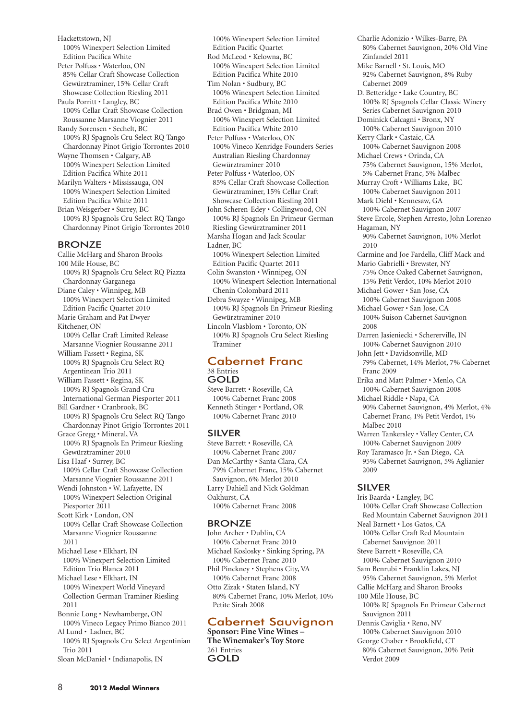Hackettstown, NJ 100% Winexpert Selection Limited Edition Pacifica White Peter Polfuss • Waterloo, ON 85% Cellar Craft Showcase Collection Gewürztraminer, 15% Cellar Craft Showcase Collection Riesling 2011 Paula Porritt • Langley, BC 100% Cellar Craft Showcase Collection Roussanne Marsanne Viognier 2011 Randy Sorensen • Sechelt, BC 100% RJ Spagnols Cru Select RQ Tango Chardonnay Pinot Grigio Torrontes 2010 Wayne Thomsen • Calgary, AB 100% Winexpert Selection Limited Edition Pacifica White 2011 Marilyn Walters • Mississauga, ON 100% Winexpert Selection Limited Edition Pacifica White 2011 Brian Weisgerber • Surrey, BC 100% RJ Spagnols Cru Select RQ Tango Chardonnay Pinot Grigio Torrontes 2010 BRONZE

Callie McHarg and Sharon Brooks 100 Mile House, BC 100% RJ Spagnols Cru Select RQ Piazza Chardonnay Garganega Diane Caley • Winnipeg, MB 100% Winexpert Selection Limited Edition Pacific Quartet 2010 Marie Graham and Pat Dwyer Kitchener, ON 100% Cellar Craft Limited Release Marsanne Viognier Roussanne 2011 William Fassett • Regina, SK 100% RJ Spagnols Cru Select RQ Argentinean Trio 2011 William Fassett • Regina, SK 100% RJ Spagnols Grand Cru International German Piesporter 2011 Bill Gardner • Cranbrook, BC 100% RJ Spagnols Cru Select RQ Tango Chardonnay Pinot Grigio Torrontes 2011 Grace Gregg • Mineral, VA 100% RJ Spagnols En Primeur Riesling Gewürztraminer 2010 Lisa Haaf • Surrey, BC 100% Cellar Craft Showcase Collection Marsanne Viognier Roussanne 2011 Wendi Johnston • W. Lafayette, IN 100% Winexpert Selection Original Piesporter 2011 Scott Kirk • London, ON 100% Cellar Craft Showcase Collection Marsanne Viognier Roussanne 2011 Michael Lese • Elkhart, IN 100% Winexpert Selection Limited Edition Trio Blanca 2011 Michael Lese • Elkhart, IN 100% Winexpert World Vineyard Collection German Traminer Riesling 2011 Bonnie Long • Newhamberge, ON 100% Vineco Legacy Primo Bianco 2011 Al Lund • Ladner, BC 100% RJ Spagnols Cru Select Argentinian Trio 2011

```
Sloan McDaniel • Indianapolis, IN
```
100% Winexpert Selection Limited Edition Pacific Quartet Rod McLeod • Kelowna, BC 100% Winexpert Selection Limited Edition Pacifica White 2010 Tim Nolan • Sudbury, BC 100% Winexpert Selection Limited Edition Pacifica White 2010 Brad Owen • Bridgman, MI 100% Winexpert Selection Limited Edition Pacifica White 2010 Peter Polfuss • Waterloo, ON 100% Vineco Kenridge Founders Series Australian Riesling Chardonnay Gewürztraminer 2010

Peter Polfuss • Waterloo, ON 85% Cellar Craft Showcase Collection Gewürztraminer, 15% Cellar Craft Showcase Collection Riesling 2011

John Scheren-Edey • Collingwood, ON 100% RJ Spagnols En Primeur German Riesling Gewürztraminer 2011 Marsha Hogan and Jack Scoular

- Ladner, BC
- 100% Winexpert Selection Limited Edition Pacific Quartet 2011

Colin Swanston • Winnipeg, ON 100% Winexpert Selection International Chenin Colombard 2011

Debra Swayze • Winnipeg, MB 100% RJ Spagnols En Primeur Riesling Gewürztraminer 2010 Lincoln Vlasblom • Toronto, ON

100% RJ Spagnols Cru Select Riesling Traminer

#### Cabernet Franc 38 Entries GOLD

Steve Barrett • Roseville, CA 100% Cabernet Franc 2008 Kenneth Stinger • Portland, OR 100% Cabernet Franc 2010

## SILVER

Steve Barrett • Roseville, CA 100% Cabernet Franc 2007 Dan McCarthy • Santa Clara, CA 79% Cabernet Franc, 15% Cabernet Sauvignon, 6% Merlot 2010 Larry Dahiell and Nick Goldman Oakhurst, CA 100% Cabernet Franc 2008

## **BRONZE**

John Archer • Dublin, CA 100% Cabernet Franc 2010 Michael Koslosky • Sinking Spring, PA 100% Cabernet Franc 2010 Phil Pinckney • Stephens City, VA 100% Cabernet Franc 2008 Otto Zizak • Staten Island, NY 80% Cabernet Franc, 10% Merlot, 10% Petite Sirah 2008

## Cabernet Sauvignon

**Sponsor: Fine Vine Wines – The Winemaker's Toy Store** 261 Entries **GOLD** 

Charlie Adonizio • Wilkes-Barre, PA 80% Cabernet Sauvignon, 20% Old Vine Zinfandel 2011 Mike Barnell • St. Louis, MO 92% Cabernet Sauvignon, 8% Ruby Cabernet 2009 D. Betteridge • Lake Country, BC 100% RJ Spagnols Cellar Classic Winery Series Cabernet Sauvignon 2010 Dominick Calcagni • Bronx, NY 100% Cabernet Sauvignon 2010 Kerry Clark • Castaic, CA 100% Cabernet Sauvignon 2008 Michael Crews • Orinda, CA 75% Cabernet Sauvignon, 15% Merlot, 5% Cabernet Franc, 5% Malbec Murray Croft • Williams Lake, BC 100% Cabernet Sauvignon 2011 Mark Diehl • Kennesaw, GA 100% Cabernet Sauvignon 2007 Steve Ercole, Stephen Arresto, John Lorenzo Hagaman, NY 90% Cabernet Sauvignon, 10% Merlot 2010 Carmine and Joe Fardella, Cliff Mack and Mario Gabrielli • Brewster, NY 75% Once Oaked Cabernet Sauvignon, 15% Petit Verdot, 10% Merlot 2010 Michael Gower • San Jose, CA 100% Cabernet Sauvignon 2008 Michael Gower • San Jose, CA 100% Suison Cabernet Sauvignon 2008 Darren Jasieniecki • Schererville, IN 100% Cabernet Sauvignon 2010 John Jett • Davidsonville, MD 79% Cabernet, 14% Merlot, 7% Cabernet Franc 2009 Erika and Matt Palmer • Menlo, CA 100% Cabernet Sauvignon 2008 Michael Riddle • Napa, CA 90% Cabernet Sauvignon, 4% Merlot, 4% Cabernet Franc, 1% Petit Verdot, 1% Malbec 2010 Warren Tankersley • Valley Center, CA 100% Cabernet Sauvignon 2009 Roy Taramasco Jr. • San Diego, CA 95% Cabernet Sauvignon, 5% Aglianier 2009

## SILVER

Iris Baarda • Langley, BC 100% Cellar Craft Showcase Collection Red Mountain Cabernet Sauvignon 2011 Neal Barnett • Los Gatos, CA 100% Cellar Craft Red Mountain Cabernet Sauvignon 2011 Steve Barrett • Roseville, CA 100% Cabernet Sauvignon 2010 Sam Benrubi • Franklin Lakes, NJ 95% Cabernet Sauvignon, 5% Merlot Callie McHarg and Sharon Brooks 100 Mile House, BC 100% RJ Spagnols En Primeur Cabernet Sauvignon 2011 Dennis Caviglia • Reno, NV 100% Cabernet Sauvignon 2010 George Chaber • Brookfield, CT 80% Cabernet Sauvignon, 20% Petit Verdot 2009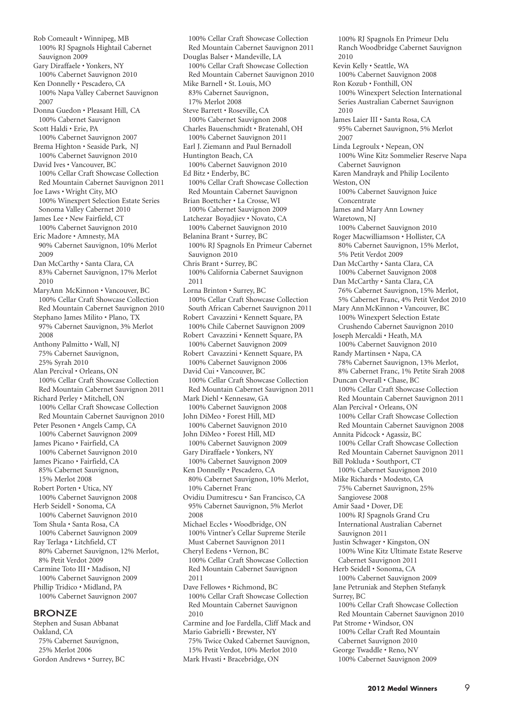Rob Comeault • Winnipeg, MB 100% RJ Spagnols Hightail Cabernet Sauvignon 2009 Gary Diraffaele • Yonkers, NY 100% Cabernet Sauvignon 2010 Ken Donnelly • Pescadero, CA 100% Napa Valley Cabernet Sauvignon 2007 Donna Guedon • Pleasant Hill, CA 100% Cabernet Sauvignon Scott Haldi • Erie, PA 100% Cabernet Sauvignon 2007 Brema Highton • Seaside Park, NJ 100% Cabernet Sauvignon 2010 David Ives • Vancouver, BC 100% Cellar Craft Showcase Collection Red Mountain Cabernet Sauvignon 2011 Joe Laws • Wright City, MO 100% Winexpert Selection Estate Series Sonoma Valley Cabernet 2010 James Lee • New Fairfield, CT 100% Cabernet Sauvignon 2010 Eric Madore • Amnesty, MA 90% Cabernet Sauvignon, 10% Merlot 2009 Dan McCarthy • Santa Clara, CA 83% Cabernet Sauvignon, 17% Merlot 2010 MaryAnn McKinnon • Vancouver, BC 100% Cellar Craft Showcase Collection Red Mountain Cabernet Sauvignon 2010 Stephano James Milito • Plano, TX 97% Cabernet Sauvignon, 3% Merlot 2008 Anthony Palmitto • Wall, NJ 75% Cabernet Sauvignon, 25% Syrah 2010 Alan Percival • Orleans, ON 100% Cellar Craft Showcase Collection Red Mountain Cabernet Sauvignon 2011 Richard Perley • Mitchell, ON 100% Cellar Craft Showcase Collection Red Mountain Cabernet Sauvignon 2010 Peter Pesonen • Angels Camp, CA 100% Cabernet Sauvignon 2009 James Picano • Fairfield, CA 100% Cabernet Sauvignon 2010 James Picano • Fairfield, CA 85% Cabernet Sauvignon, 15% Merlot 2008 Robert Porten • Utica, NY 100% Cabernet Sauvignon 2008 Herb Seidell • Sonoma, CA 100% Cabernet Sauvignon 2010 Tom Shula • Santa Rosa, CA 100% Cabernet Sauvignon 2009 Ray Terlaga • Litchfield, CT 80% Cabernet Sauvignon, 12% Merlot, 8% Petit Verdot 2009 Carmine Toto III • Madison, NJ 100% Cabernet Sauvignon 2009 Phillip Tridico • Midland, PA 100% Cabernet Sauvignon 2007

#### BRONZE

Stephen and Susan Abbanat Oakland, CA 75% Cabernet Sauvignon, 25% Merlot 2006 Gordon Andrews • Surrey, BC

100% Cellar Craft Showcase Collection Red Mountain Cabernet Sauvignon 2011 Douglas Balser • Mandeville, LA 100% Cellar Craft Showcase Collection Red Mountain Cabernet Sauvignon 2010 Mike Barnell • St. Louis, MO 83% Cabernet Sauvignon, 17% Merlot 2008 Steve Barrett • Roseville, CA 100% Cabernet Sauvignon 2008 Charles Bauenschmidt • Bratenahl, OH 100% Cabernet Sauvignon 2011 Earl J. Ziemann and Paul Bernadoll Huntington Beach, CA 100% Cabernet Sauvignon 2010 Ed Bitz • Enderby, BC 100% Cellar Craft Showcase Collection Red Mountain Cabernet Sauvignon Brian Boettcher • La Crosse, WI 100% Cabernet Sauvignon 2009 Latchezar Boyadjiev • Novato, CA 100% Cabernet Sauvignon 2010 Belanina Brant • Surrey, BC 100% RJ Spagnols En Primeur Cabernet Sauvignon 2010 Chris Brant • Surrey, BC 100% California Cabernet Sauvignon 2011 Lorna Brinton • Surrey, BC 100% Cellar Craft Showcase Collection South African Cabernet Sauvignon 2011 Robert Cavazzini • Kennett Square, PA 100% Chile Cabernet Sauvignon 2009 Robert Cavazzini • Kennett Square, PA 100% Cabernet Sauvignon 2009 Robert Cavazzini • Kennett Square, PA 100% Cabernet Sauvignon 2006 David Cui • Vancouver, BC 100% Cellar Craft Showcase Collection Red Mountain Cabernet Sauvignon 2011 Mark Diehl • Kennesaw, GA 100% Cabernet Sauvignon 2008 John DiMeo • Forest Hill, MD 100% Cabernet Sauvignon 2010 John DiMeo • Forest Hill, MD 100% Cabernet Sauvignon 2009 Gary Diraffaele • Yonkers, NY 100% Cabernet Sauvignon 2009 Ken Donnelly • Pescadero, CA 80% Cabernet Sauvignon, 10% Merlot, 10% Cabernet Franc Ovidiu Dumitrescu • San Francisco, CA 95% Cabernet Sauvignon, 5% Merlot 2008 Michael Eccles • Woodbridge, ON 100% Vintner's Cellar Supreme Sterile Must Cabernet Sauvignon 2011 Cheryl Eedens • Vernon, BC 100% Cellar Craft Showcase Collection Red Mountain Cabernet Sauvignon 2011 Dave Fellowes • Richmond, BC 100% Cellar Craft Showcase Collection Red Mountain Cabernet Sauvignon 2010 Carmine and Joe Fardella, Cliff Mack and Mario Gabrielli • Brewster, NY 75% Twice Oaked Cabernet Sauvignon, 15% Petit Verdot, 10% Merlot 2010 Mark Hvasti • Bracebridge, ON

100% RJ Spagnols En Primeur Delu Ranch Woodbridge Cabernet Sauvignon 2010 Kevin Kelly • Seattle, WA 100% Cabernet Sauvignon 2008 Ron Kozub • Fonthill, ON 100% Winexpert Selection International Series Australian Cabernet Sauvignon 2010 James Laier III • Santa Rosa, CA 95% Cabernet Sauvignon, 5% Merlot 2007 Linda Legroulx • Nepean, ON 100% Wine Kitz Sommelier Reserve Napa Cabernet Sauvignon Karen Mandrayk and Philip Locilento Weston, ON 100% Cabernet Sauvignon Juice Concentrate James and Mary Ann Lowney Waretown, NJ 100% Cabernet Sauvignon 2010 Roger Macwilliamson • Hollister, CA 80% Cabernet Sauvignon, 15% Merlot, 5% Petit Verdot 2009 Dan McCarthy • Santa Clara, CA 100% Cabernet Sauvignon 2008 Dan McCarthy • Santa Clara, CA 76% Cabernet Sauvignon, 15% Merlot, 5% Cabernet Franc, 4% Petit Verdot 2010 Mary Ann McKinnon • Vancouver, BC 100% Winexpert Selection Estate Crushendo Cabernet Sauvignon 2010 Joseph Mercaldi • Heath, MA 100% Cabernet Sauvignon 2010 Randy Martinsen • Napa, CA 78% Cabernet Sauvignon, 13% Merlot, 8% Cabernet Franc, 1% Petite Sirah 2008 Duncan Overall • Chase, BC 100% Cellar Craft Showcase Collection Red Mountain Cabernet Sauvignon 2011 Alan Percival • Orleans, ON 100% Cellar Craft Showcase Collection Red Mountain Cabernet Sauvignon 2008 Annita Pidcock • Agassiz, BC 100% Cellar Craft Showcase Collection Red Mountain Cabernet Sauvignon 2011 Bill Pokluda • Southport, CT 100% Cabernet Sauvignon 2010 Mike Richards • Modesto, CA 75% Cabernet Sauvignon, 25% Sangiovese 2008 Amir Saad • Dover, DE 100% RJ Spagnols Grand Cru International Australian Cabernet Sauvignon 2011 Justin Schwager • Kingston, ON 100% Wine Kitz Ultimate Estate Reserve Cabernet Sauvignon 2011 Herb Seidell • Sonoma, CA 100% Cabernet Sauvignon 2009 Jane Petruniak and Stephen Stefanyk Surrey, BC 100% Cellar Craft Showcase Collection Red Mountain Cabernet Sauvignon 2010 Pat Strome • Windsor, ON 100% Cellar Craft Red Mountain Cabernet Sauvignon 2010 George Twaddle • Reno, NV 100% Cabernet Sauvignon 2009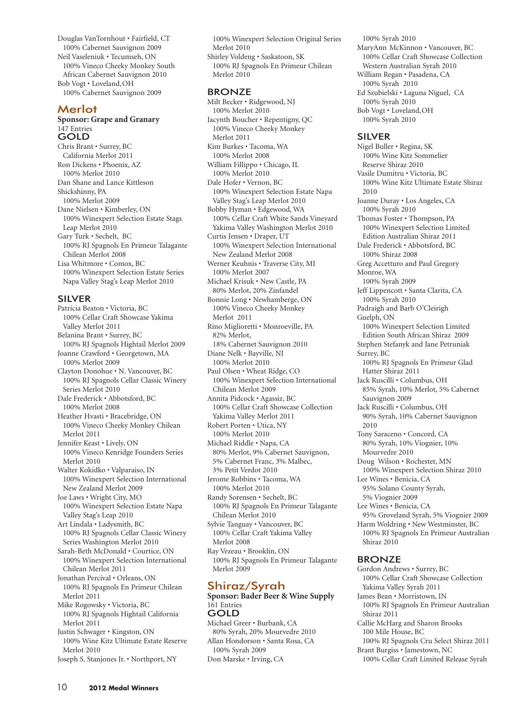Douglas VanTornhout • Fairfield, CT 100% Cabernet Sauvignon 2009 Neil Vaseleniuk • Tecumseh, ON 100% Vineco Cheeky Monkey South African Cabernet Sauvignon 2010 Bob Vogt • Loveland,OH 100% Cabernet Sauvignon 2009

## Merlot

#### **Sponsor: Grape and Granary** 147 Entries GOLD

Chris Brant • Surrey, BC California Merlot 2011 Ron Dickens • Phoenix, AZ 100% Merlot 2010 Dan Shane and Lance Kittleson Shickshinny, PA 100% Merlot 2009 Dane Nielsen • Kimberley, ON 100% Winexpert Selection Estate Stags Leap Merlot 2010 Gary Turk • Sechelt, BC 100% RJ Spagnols En Primeur Talagante Chilean Merlot 2008 Lisa Whitmore • Comox, BC 100% Winexpert Selection Estate Series Napa Valley Stag's Leap Merlot 2010

#### SILVER

Patricia Beaton • Victoria, BC 100% Cellar Craft Showcase Yakima Valley Merlot 2011 Belanina Brant • Surrey, BC 100% RJ Spagnols Hightail Merlot 2009 Joanne Crawford • Georgetown, MA 100% Merlot 2009 Clayton Donohue • N. Vancouver, BC 100% RJ Spagnols Cellar Classic Winery Series Merlot 2010 Dale Frederick • Abbotsford, BC 100% Merlot 2008 Heather Hvasti • Bracebridge, ON 100% Vineco Cheeky Monkey Chilean Merlot 2011 Jennifer Keast • Lively, ON 100% Vineco Kenridge Founders Series Merlot 2010 Walter Kokidko • Valparaiso, IN 100% Winexpert Selection International New Zealand Merlot 2009 Joe Laws • Wright City, MO 100% Winexpert Selection Estate Napa Valley Stag's Leap 2010 Art Lindala • Ladysmith, BC 100% RJ Spagnols Cellar Classic Winery Series Washington Merlot 2010 Sarah-Beth McDonald • Courtice, ON 100% Winexpert Selection International Chilean Merlot 2011 Jonathan Percival • Orleans, ON 100% RJ Spagnols En Primeur Chilean Merlot 2011 Mike Rogowsky • Victoria, BC 100% RJ Spagnols Hightail California Merlot 2011 Justin Schwager • Kingston, ON 100% Wine Kitz Ultimate Estate Reserve Merlot 2010

Joseph S. Stanjones Jr. • Northport, NY

100% Winexpert Selection Original Series Merlot 2010 Shirley Voldeng • Saskatoon, SK 100% RJ Spagnols En Primeur Chilean

Merlot 2010

#### **BRONZE**

Milt Becker • Ridgewood, NJ 100% Merlot 2010 Jacynth Boucher • Repentigny, QC 100% Vineco Cheeky Monkey Merlot 2011 Kim Burkes • Tacoma, WA 100% Merlot 2008 William Fillippo • Chicago, IL 100% Merlot 2010 Dale Hofer • Vernon, BC 100% Winexpert Selection Estate Napa Valley Stag's Leap Merlot 2010 Bobby Hyman • Edgewood, WA 100% Cellar Craft White Sands Vineyard Yakima Valley Washington Merlot 2010 Curtis Jensen • Draper, UT 100% Winexpert Selection International New Zealand Merlot 2008 Werner Keuhnis • Traverse City, MI 100% Merlot 2007 Michael Krisuk • New Castle, PA 80% Merlot, 20% Zinfandel Bonnie Long • Newhamberge, ON 100% Vineco Cheeky Monkey Merlot 2011 Rino Miglioretti • Monroeville, PA 82% Merlot, 18% Cabernet Sauvignon 2010 Diane Nelk • Bayville, NJ 100% Merlot 2010 Paul Olsen • Wheat Ridge, CO 100% Winexpert Selection International Chilean Merlot 2009 Annita Pidcock • Agassiz, BC 100% Cellar Craft Showcase Collection Yakima Valley Merlot 2011 Robert Porten • Utica, NY 100% Merlot 2010 Michael Riddle • Napa, CA 80% Merlot, 9% Cabernet Sauvignon, 5% Cabernet Franc, 3% Malbec, 3% Petit Verdot 2010 Jerome Robbins • Tacoma, WA 100% Merlot 2010 Randy Sorensen • Sechelt, BC 100% RJ Spagnols En Primeur Talagante Chilean Merlot 2010 Sylvie Tanguay • Vancouver, BC 100% Cellar Craft Yakima Valley Merlot 2008 Ray Vezeau • Brooklin, ON 100% RJ Spagnols En Primeur Talagante Merlot 2009

## Shiraz/Syrah

**Sponsor: Bader Beer & Wine Supply** 161 Entries GOLD Michael Greer • Burbank, CA 80% Syrah, 20% Mourvedre 2010 Allan Hondorson • Santa Rosa, CA 100% Syrah 2009

Don Marske • Irving, CA

100% Syrah 2010

MaryAnn McKinnon • Vancouver, BC 100% Cellar Craft Showcase Collection Western Australian Syrah 2010 William Regan • Pasadena, CA 100% Syrah 2010 Ed Szubielski • Laguna Niguel, CA 100% Syrah 2010 Bob Vogt • Loveland,OH 100% Syrah 2010

#### SILVER

Nigel Buller • Regina, SK 100% Wine Kitz Sommelier Reserve Shiraz 2010 Vasile Dumitru • Victoria, BC 100% Wine Kitz Ultimate Estate Shiraz 2010 Joanne Duray • Los Angeles, CA 100% Syrah 2010 Thomas Foster • Thompson, PA 100% Winexpert Selection Limited Edition Australian Shiraz 2011 Dale Frederick • Abbotsford, BC 100% Shiraz 2008 Greg Accetturo and Paul Gregory Monroe, WA 100% Syrah 2009 Jeff Lippencott • Santa Clarita, CA 100% Syrah 2010 Padraigh and Barb O'Cleirigh Guelph, ON 100% Winexpert Selection Limited Edition South African Shiraz 2009 Stephen Stefanyk and Jane Petruniak Surrey, BC 100% RJ Spagnols En Primeur Glad Hatter Shiraz 2011 Jack Ruscilli • Columbus, OH 85% Syrah, 10% Merlot, 5% Cabernet Sauvignon 2009 Jack Ruscilli • Columbus, OH 90% Syrah, 10% Cabernet Sauvignon 2010 Tony Saraceno • Concord, CA 80% Syrah, 10% Viognier, 10% Mourvedre 2010 Doug Wilson • Rochester, MN 100% Winexpert Selection Shiraz 2010 Lee Wines • Benicia, CA 95% Solano County Syrah, 5% Viognier 2009 Lee Wines • Benicia, CA 95% Groveland Syrah, 5% Viognier 2009 Harm Woldring • New Westminster, BC 100% RJ Spagnols En Primeur Australian Shiraz 2010

#### BRONZE

Gordon Andrews • Surrey, BC 100% Cellar Craft Showcase Collection Yakima Valley Syrah 2011 James Bean • Morristown, IN 100% RJ Spagnols En Primeur Australian Shiraz 2011 Callie McHarg and Sharon Brooks 100 Mile House, BC 100% RJ Spagnols Cru Select Shiraz 2011 Brant Burgiss • Jamestown, NC

100% Cellar Craft Limited Release Syrah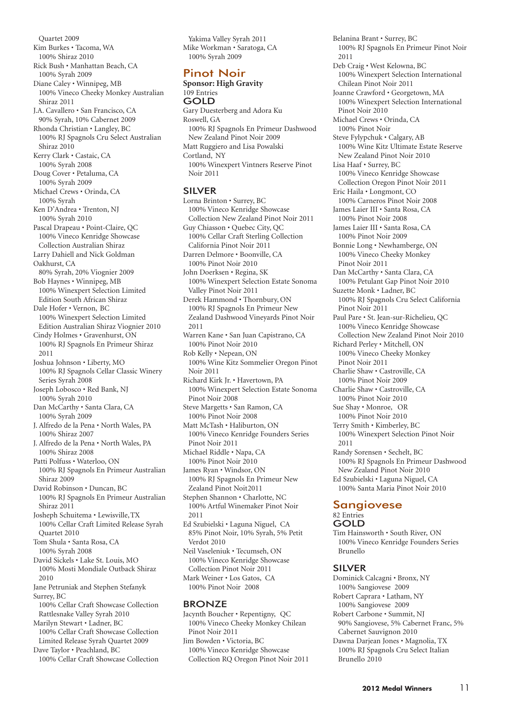Quartet 2009 Kim Burkes • Tacoma, WA 100% Shiraz 2010 Rick Bush • Manhattan Beach, CA 100% Syrah 2009 Diane Caley • Winnipeg, MB 100% Vineco Cheeky Monkey Australian Shiraz 2011 J.A. Cavallero • San Francisco, CA 90% Syrah, 10% Cabernet 2009 Rhonda Christian • Langley, BC 100% RJ Spagnols Cru Select Australian Shiraz 2010 Kerry Clark • Castaic, CA 100% Syrah 2008 Doug Cover • Petaluma, CA 100% Syrah 2009 Michael Crews • Orinda, CA 100% Syrah Ken D'Andrea • Trenton, NJ 100% Syrah 2010 Pascal Drapeau • Point-Claire, QC 100% Vineco Kenridge Showcase Collection Australian Shiraz Larry Dahiell and Nick Goldman Oakhurst, CA 80% Syrah, 20% Viognier 2009 Bob Haynes • Winnipeg, MB 100% Winexpert Selection Limited Edition South African Shiraz Dale Hofer • Vernon, BC 100% Winexpert Selection Limited Edition Australian Shiraz Viognier 2010 Cindy Holmes • Gravenhurst, ON 100% RJ Spagnols En Primeur Shiraz 2011 Joshua Johnson • Liberty, MO 100% RJ Spagnols Cellar Classic Winery Series Syrah 2008 Joseph Lobosco • Red Bank, NJ 100% Syrah 2010 Dan McCarthy • Santa Clara, CA 100% Syrah 2009 J. Alfredo de la Pena • North Wales, PA 100% Shiraz 2007 J. Alfredo de la Pena • North Wales, PA 100% Shiraz 2008 Patti Polfuss • Waterloo, ON 100% RJ Spagnols En Primeur Australian Shiraz 2009 David Robinson • Duncan, BC 100% RJ Spagnols En Primeur Australian Shiraz 2011 Josheph Schuitema • Lewisville,TX 100% Cellar Craft Limited Release Syrah Quartet 2010 Tom Shula • Santa Rosa, CA 100% Syrah 2008 David Sickels • Lake St. Louis, MO 100% Mosti Mondiale Outback Shiraz 2010 Jane Petruniak and Stephen Stefanyk Surrey, BC 100% Cellar Craft Showcase Collection Rattlesnake Valley Syrah 2010 Marilyn Stewart • Ladner, BC 100% Cellar Craft Showcase Collection Limited Release Syrah Quartet 2009 Dave Taylor • Peachland, BC 100% Cellar Craft Showcase Collection

Yakima Valley Syrah 2011 Mike Workman • Saratoga, CA 100% Syrah 2009

## Pinot Noir

**Sponsor: High Gravity** 109 Entries GOLD Gary Duesterberg and Adora Ku Roswell, GA 100% RJ Spagnols En Primeur Dashwood New Zealand Pinot Noir 2009 Matt Ruggiero and Lisa Powalski Cortland, NY 100% Winexpert Vintners Reserve Pinot Noir 2011

#### SILVER

Lorna Brinton • Surrey, BC 100% Vineco Kenridge Showcase Collection New Zealand Pinot Noir 2011 Guy Chiasson • Quebec City, QC 100% Cellar Craft Sterling Collection California Pinot Noir 2011 Darren Delmore • Boonville, CA 100% Pinot Noir 2010 John Doerksen • Regina, SK 100% Winexpert Selection Estate Sonoma Valley Pinot Noir 2011 Derek Hammond • Thornbury, ON 100% RJ Spagnols En Primeur New Zealand Dashwood Vineyards Pinot Noir 2011 Warren Kane • San Juan Capistrano, CA 100% Pinot Noir 2010 Rob Kelly • Nepean, ON 100% Wine Kitz Sommelier Oregon Pinot Noir 2011 Richard Kirk Jr. • Havertown, PA 100% Winexpert Selection Estate Sonoma Pinot Noir 2008 Steve Margetts • San Ramon, CA 100% Pinot Noir 2008 Matt McTash • Haliburton, ON 100% Vineco Kenridge Founders Series Pinot Noir 2011 Michael Riddle • Napa, CA 100% Pinot Noir 2010 James Ryan • Windsor, ON 100% RJ Spagnols En Primeur New Zealand Pinot Noit2011 Stephen Shannon • Charlotte, NC 100% Artful Winemaker Pinot Noir 2011 Ed Szubielski • Laguna Niguel, CA 85% Pinot Noir, 10% Syrah, 5% Petit Verdot 2010 Neil Vaseleniuk • Tecumseh, ON 100% Vineco Kenridge Showcase Collection Pinot Noir 2011 Mark Weiner • Los Gatos, CA 100% Pinot Noir 2008

#### BRONZE

Jacynth Boucher • Repentigny, QC 100% Vineco Cheeky Monkey Chilean Pinot Noir 2011 Jim Bowden • Victoria, BC 100% Vineco Kenridge Showcase Collection RQ Oregon Pinot Noir 2011 Belanina Brant • Surrey, BC 100% RJ Spagnols En Primeur Pinot Noir 2011 Deb Craig • West Kelowna, BC 100% Winexpert Selection International Chilean Pinot Noir 2011 Joanne Crawford • Georgetown, MA 100% Winexpert Selection International Pinot Noir 2010 Michael Crews • Orinda, CA 100% Pinot Noir Steve Fylypchuk • Calgary, AB 100% Wine Kitz Ultimate Estate Reserve New Zealand Pinot Noir 2010 Lisa Haaf • Surrey, BC 100% Vineco Kenridge Showcase Collection Oregon Pinot Noir 2011 Eric Haila • Longmont, CO 100% Carneros Pinot Noir 2008 James Laier III • Santa Rosa, CA 100% Pinot Noir 2008 James Laier III • Santa Rosa, CA 100% Pinot Noir 2009 Bonnie Long • Newhamberge, ON 100% Vineco Cheeky Monkey Pinot Noir 2011 Dan McCarthy • Santa Clara, CA 100% Petulant Gap Pinot Noir 2010 Suzette Monk • Ladner, BC 100% RJ Spagnols Cru Select California Pinot Noir 2011 Paul Pare • St. Jean-sur-Richelieu, QC 100% Vineco Kenridge Showcase Collection New Zealand Pinot Noir 2010 Richard Perley • Mitchell, ON 100% Vineco Cheeky Monkey Pinot Noir 2011 Charlie Shaw • Castroville, CA 100% Pinot Noir 2009 Charlie Shaw • Castroville, CA 100% Pinot Noir 2010 Sue Shay • Monroe, OR 100% Pinot Noir 2010 Terry Smith • Kimberley, BC 100% Winexpert Selection Pinot Noir 2011 Randy Sorensen • Sechelt, BC 100% RJ Spagnols En Primeur Dashwood New Zealand Pinot Noir 2010 Ed Szubielski • Laguna Niguel, CA 100% Santa Maria Pinot Noir 2010

#### Sangiovese 82 Entries **GOLD**

Tim Hainsworth • South River, ON 100% Vineco Kenridge Founders Series Brunello

#### SILVER

Dominick Calcagni • Bronx, NY 100% Sangiovese 2009 Robert Caprara • Latham, NY 100% Sangiovese 2009 Robert Carbone • Summit, NJ 90% Sangiovese, 5% Cabernet Franc, 5% Cabernet Sauvignon 2010 Dawna Darjean Jones • Magnolia, TX 100% RJ Spagnols Cru Select Italian Brunello 2010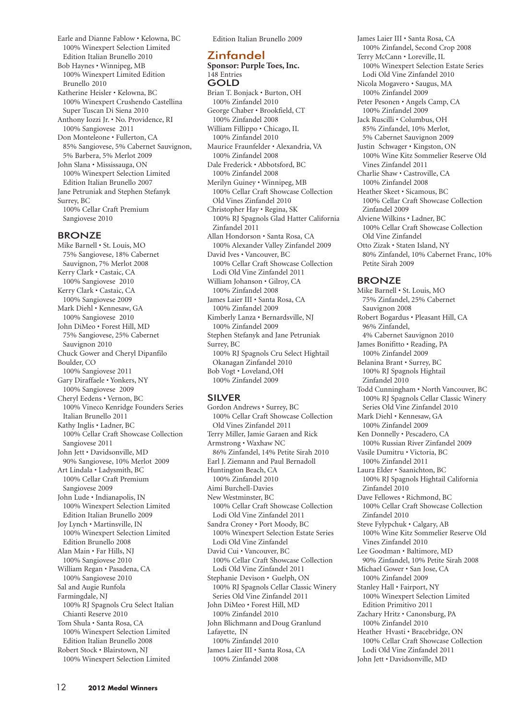Earle and Dianne Fablow • Kelowna, BC 100% Winexpert Selection Limited Edition Italian Brunello 2010 Bob Haynes • Winnipeg, MB 100% Winexpert Limited Edition Brunello 2010 Katherine Heisler • Kelowna, BC 100% Winexpert Crushendo Castellina Super Tuscan Di Siena 2010 Anthony Iozzi Jr. • No. Providence, RI 100% Sangiovese 2011 Don Monteleone • Fullerton, CA 85% Sangiovese, 5% Cabernet Sauvignon, 5% Barbera, 5% Merlot 2009 John Slana • Mississauga, ON 100% Winexpert Selection Limited Edition Italian Brunello 2007 Jane Petruniak and Stephen Stefanyk Surrey, BC 100% Cellar Craft Premium Sangiovese 2010

#### BRONZE

Mike Barnell • St. Louis, MO 75% Sangiovese, 18% Cabernet Sauvignon, 7% Merlot 2008 Kerry Clark • Castaic, CA 100% Sangiovese 2010 Kerry Clark • Castaic, CA 100% Sangiovese 2009 Mark Diehl • Kennesaw, GA 100% Sangiovese 2010 John DiMeo • Forest Hill, MD 75% Sangiovese, 25% Cabernet Sauvignon 2010 Chuck Gower and Cheryl Dipanfilo Boulder, CO 100% Sangiovese 2011 Gary Diraffaele • Yonkers, NY 100% Sangiovese 2009 Cheryl Eedens • Vernon, BC 100% Vineco Kenridge Founders Series Italian Brunello 2011 Kathy Inglis • Ladner, BC 100% Cellar Craft Showcase Collection Sangiovese 2011 John Jett • Davidsonville, MD 90% Sangiovese, 10% Merlot 2009 Art Lindala • Ladysmith, BC 100% Cellar Craft Premium Sangiovese 2009 John Lude • Indianapolis, IN 100% Winexpert Selection Limited Edition Italian Brunello 2009 Joy Lynch • Martinsville, IN 100% Winexpert Selection Limited Edition Brunello 2008 Alan Main • Far Hills, NJ 100% Sangiovese 2010 William Regan • Pasadena, CA 100% Sangiovese 2010 Sal and Augie Runfola Farmingdale, NJ 100% RJ Spagnols Cru Select Italian Chianti Reserve 2010 Tom Shula • Santa Rosa, CA 100% Winexpert Selection Limited Edition Italian Brunello 2008 Robert Stock • Blairstown, NJ 100% Winexpert Selection Limited

Edition Italian Brunello 2009

## Zinfandel

**Sponsor: Purple Toes, Inc.** 148 Entries GOLD

Brian T. Bonjack • Burton, OH 100% Zinfandel 2010 George Chaber • Brookfield, CT 100% Zinfandel 2008 William Fillippo • Chicago, IL 100% Zinfandel 2010 Maurice Fraunfelder • Alexandria, VA 100% Zinfandel 2008 Dale Frederick • Abbotsford, BC 100% Zinfandel 2008 Merilyn Guiney • Winnipeg, MB 100% Cellar Craft Showcase Collection Old Vines Zinfandel 2010 Christopher Hay • Regina, SK 100% RJ Spagnols Glad Hatter California Zinfandel 2011 Allan Hondorson • Santa Rosa, CA 100% Alexander Valley Zinfandel 2009 David Ives • Vancouver, BC 100% Cellar Craft Showcase Collection Lodi Old Vine Zinfandel 2011 William Johanson • Gilroy, CA 100% Zinfandel 2008 James Laier III • Santa Rosa, CA 100% Zinfandel 2009 Kimberly Lanza • Bernardsville, NJ 100% Zinfandel 2009 Stephen Stefanyk and Jane Petruniak Surrey, BC 100% RJ Spagnols Cru Select Hightail Okanagan Zinfandel 2010 Bob Vogt • Loveland,OH 100% Zinfandel 2009

#### SILVER

Gordon Andrews • Surrey, BC 100% Cellar Craft Showcase Collection Old Vines Zinfandel 2011 Terry Miller, Jamie Garaen and Rick Armstrong • Waxhaw NC 86% Zinfandel, 14% Petite Sirah 2010 Earl J. Ziemann and Paul Bernadoll Huntington Beach, CA 100% Zinfandel 2010 Aimi Burchell-Davies New Westminster, BC 100% Cellar Craft Showcase Collection Lodi Old Vine Zinfandel 2011 Sandra Croney • Port Moody, BC 100% Winexpert Selection Estate Series Lodi Old Vine Zinfandel David Cui • Vancouver, BC 100% Cellar Craft Showcase Collection Lodi Old Vine Zinfandel 2011 Stephanie Devison • Guelph, ON 100% RJ Spagnols Cellar Classic Winery Series Old Vine Zinfandel 2011 John DiMeo • Forest Hill, MD 100% Zinfandel 2010 John Blichmann and Doug Granlund Lafayette, IN 100% Zinfandel 2010 James Laier III • Santa Rosa, CA 100% Zinfandel 2008

James Laier III • Santa Rosa, CA 100% Zinfandel, Second Crop 2008 Terry McCann • Loreville, IL 100% Winexpert Selection Estate Series Lodi Old Vine Zinfandel 2010 Nicola Mogavero • Saugus, MA 100% Zinfandel 2009 Peter Pesonen • Angels Camp, CA 100% Zinfandel 2009 Jack Ruscilli • Columbus, OH 85% Zinfandel, 10% Merlot, 5% Cabernet Sauvignon 2009 Justin Schwager • Kingston, ON 100% Wine Kitz Sommelier Reserve Old Vines Zinfandel 2011 Charlie Shaw • Castroville, CA 100% Zinfandel 2008 Heather Skeet • Sicamous, BC 100% Cellar Craft Showcase Collection Zinfandel 2009 Alviene Wilkins • Ladner, BC 100% Cellar Craft Showcase Collection Old Vine Zinfandel Otto Zizak • Staten Island, NY 80% Zinfandel, 10% Cabernet Franc, 10% Petite Sirah 2009 BRONZE Mike Barnell • St. Louis, MO 75% Zinfandel, 25% Cabernet

Sauvignon 2008 Robert Bogardus • Pleasant Hill, CA 96% Zinfandel, 4% Cabernet Sauvignon 2010

James Bonifitto • Reading, PA 100% Zinfandel 2009 Belanina Brant • Surrey, BC 100% RJ Spagnols Hightail Zinfandel 2010 Todd Cunningham • North Vancouver, BC 100% RJ Spagnols Cellar Classic Winery Series Old Vine Zinfandel 2010 Mark Diehl • Kennesaw, GA 100% Zinfandel 2009 Ken Donnelly • Pescadero, CA 100% Russian River Zinfandel 2009 Vasile Dumitru • Victoria, BC 100% Zinfandel 2011 Laura Elder • Saanichton, BC 100% RJ Spagnols Hightail California Zinfandel 2010 Dave Fellowes • Richmond, BC 100% Cellar Craft Showcase Collection Zinfandel 2010 Steve Fylypchuk • Calgary, AB 100% Wine Kitz Sommelier Reserve Old Vines Zinfandel 2010 Lee Goodman • Baltimore, MD 90% Zinfandel, 10% Petite Sirah 2008 Michael Gower • San Jose, CA 100% Zinfandel 2009 Stanley Hall • Fairport, NY 100% Winexpert Selection Limited Edition Primitivo 2011 Zachary Hritz • Canonsburg, PA 100% Zinfandel 2010 Heather Hvasti • Bracebridge, ON 100% Cellar Craft Showcase Collection

Lodi Old Vine Zinfandel 2011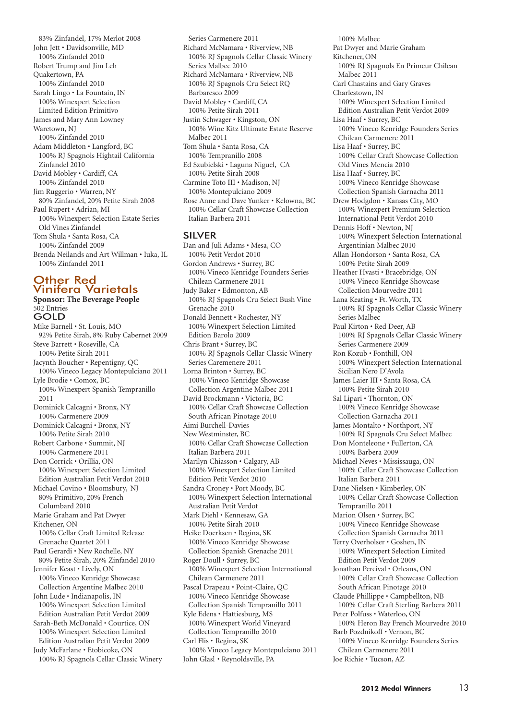83% Zinfandel, 17% Merlot 2008 John Jett • Davidsonville, MD 100% Zinfandel 2010 Robert Trump and Jim Leh Quakertown, PA 100% Zinfandel 2010 Sarah Lingo • La Fountain, IN 100% Winexpert Selection Limited Edition Primitivo James and Mary Ann Lowney Waretown, NJ 100% Zinfandel 2010 Adam Middleton • Langford, BC 100% RJ Spagnols Hightail California Zinfandel 2010 David Mobley • Cardiff, CA 100% Zinfandel 2010 Jim Ruggerio • Warren, NY 80% Zinfandel, 20% Petite Sirah 2008 Paul Rupert • Adrian, MI 100% Winexpert Selection Estate Series Old Vines Zinfandel Tom Shula • Santa Rosa, CA 100% Zinfandel 2009 Brenda Neilands and Art Willman • Iuka, IL 100% Zinfandel 2011

#### Other Red Vinifera Varietals **Sponsor: The Beverage People**

502 Entries GOLD Mike Barnell • St. Louis, MO 92% Petite Sirah, 8% Ruby Cabernet 2009 Steve Barrett • Roseville, CA 100% Petite Sirah 2011 Jacynth Boucher • Repentigny, QC 100% Vineco Legacy Montepulciano 2011 Lyle Brodie • Comox, BC 100% Winexpert Spanish Tempranillo 2011 Dominick Calcagni • Bronx, NY 100% Carmenere 2009 Dominick Calcagni • Bronx, NY 100% Petite Sirah 2010 Robert Carbone • Summit, NJ 100% Carmenere 2011 Don Corrick • Orillia, ON 100% Winexpert Selection Limited Edition Australian Petit Verdot 2010 Michael Covino • Bloomsbury, NJ 80% Primitivo, 20% French Columbard 2010 Marie Graham and Pat Dwyer Kitchener, ON 100% Cellar Craft Limited Release Grenache Quartet 2011 Paul Gerardi • New Rochelle, NY 80% Petite Sirah, 20% Zinfandel 2010 Jennifer Keast • Lively, ON 100% Vineco Kenridge Showcase Collection Argentine Malbec 2010 John Lude • Indianapolis, IN 100% Winexpert Selection Limited Edition Australian Petit Verdot 2009 Sarah-Beth McDonald • Courtice, ON 100% Winexpert Selection Limited Edition Australian Petit Verdot 2009 Judy McFarlane • Etobicoke, ON 100% RJ Spagnols Cellar Classic Winery

Series Carmenere 2011 Richard McNamara • Riverview, NB 100% RJ Spagnols Cellar Classic Winery Series Malbec 2010 Richard McNamara • Riverview, NB 100% RJ Spagnols Cru Select RQ Barbaresco 2009 David Mobley • Cardiff, CA 100% Petite Sirah 2011 Justin Schwager • Kingston, ON 100% Wine Kitz Ultimate Estate Reserve Malbec 2011 Tom Shula • Santa Rosa, CA 100% Tempranillo 2008 Ed Szubielski • Laguna Niguel, CA 100% Petite Sirah 2008 Carmine Toto III • Madison, NJ 100% Montepulciano 2009 Rose Anne and Dave Yunker • Kelowna, BC 100% Cellar Craft Showcase Collection Italian Barbera 2011

#### SILVER

Dan and Juli Adams • Mesa, CO 100% Petit Verdot 2010 Gordon Andrews • Surrey, BC 100% Vineco Kenridge Founders Series Chilean Carmenere 2011 Judy Baker • Edmonton, AB 100% RJ Spagnols Cru Select Bush Vine Grenache 2010 Donald Bennett • Rochester, NY 100% Winexpert Selection Limited Edition Barolo 2009 Chris Brant • Surrey, BC 100% RJ Spagnols Cellar Classic Winery Series Caremenere 2011 Lorna Brinton • Surrey, BC 100% Vineco Kenridge Showcase Collection Argentine Malbec 2011 David Brockmann • Victoria, BC 100% Cellar Craft Showcase Collection South African Pinotage 2010 Aimi Burchell-Davies New Westminster, BC 100% Cellar Craft Showcase Collection Italian Barbera 2011 Marilyn Chiasson • Calgary, AB 100% Winexpert Selection Limited Edition Petit Verdot 2010 Sandra Croney • Port Moody, BC 100% Winexpert Selection International Australian Petit Verdot Mark Diehl • Kennesaw, GA 100% Petite Sirah 2010 Heike Doerksen • Regina, SK 100% Vineco Kenridge Showcase Collection Spanish Grenache 2011 Roger Doull • Surrey, BC 100% Winexpert Selection International Chilean Carmenere 2011 Pascal Drapeau • Point-Claire, QC 100% Vineco Kenridge Showcase Collection Spanish Tempranillo 2011 Kyle Edens • Hattiesburg, MS 100% Winexpert World Vineyard Collection Tempranillo 2010 Carl Flis • Regina, SK 100% Vineco Legacy Montepulciano 2011 John Glasl • Reynoldsville, PA

100% Malbec Pat Dwyer and Marie Graham Kitchener, ON 100% RJ Spagnols En Primeur Chilean Malbec 2011 Carl Chastains and Gary Graves Charlestown, IN 100% Winexpert Selection Limited Edition Australian Petit Verdot 2009 Lisa Haaf • Surrey, BC 100% Vineco Kenridge Founders Series Chilean Carmenere 2011 Lisa Haaf • Surrey, BC 100% Cellar Craft Showcase Collection Old Vines Mencia 2010 Lisa Haaf • Surrey, BC 100% Vineco Kenridge Showcase Collection Spanish Garnacha 2011 Drew Hodgdon • Kansas City, MO 100% Winexpert Premium Selection International Petit Verdot 2010 Dennis Hoff • Newton, NJ 100% Winexpert Selection International Argentinian Malbec 2010 Allan Hondorson • Santa Rosa, CA 100% Petite Sirah 2009 Heather Hvasti • Bracebridge, ON 100% Vineco Kenridge Showcase Collection Mourvedre 2011 Lana Keating • Ft. Worth, TX 100% RJ Spagnols Cellar Classic Winery Series Malbec Paul Kirton • Red Deer, AB 100% RJ Spagnols Cellar Classic Winery Series Carmenere 2009 Ron Kozub • Fonthill, ON 100% Winexpert Selection International Sicilian Nero D'Avola James Laier III • Santa Rosa, CA 100% Petite Sirah 2010 Sal Lipari • Thornton, ON 100% Vineco Kenridge Showcase Collection Garnacha 2011 James Montalto • Northport, NY 100% RJ Spagnols Cru Select Malbec Don Monteleone • Fullerton, CA 100% Barbera 2009 Michael Neves • Mississauga, ON 100% Cellar Craft Showcase Collection Italian Barbera 2011 Dane Nielsen • Kimberley, ON 100% Cellar Craft Showcase Collection Tempranillo 2011 Marion Olsen • Surrey, BC 100% Vineco Kenridge Showcase Collection Spanish Garnacha 2011 Terry Overholser • Goshen, IN 100% Winexpert Selection Limited Edition Petit Verdot 2009 Jonathan Percival • Orleans, ON 100% Cellar Craft Showcase Collection South African Pinotage 2010 Claude Phillippe • Campbellton, NB 100% Cellar Craft Sterling Barbera 2011 Peter Polfuss • Waterloo, ON 100% Heron Bay French Mourvedre 2010 Barb Pozdnikoff • Vernon, BC 100% Vineco Kenridge Founders Series Chilean Carmenere 2011 Joe Richie • Tucson, AZ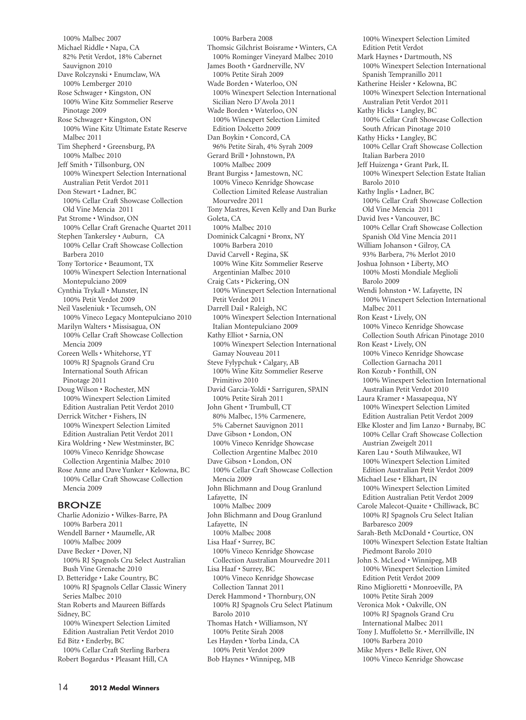100% Malbec 2007 Michael Riddle • Napa, CA 82% Petit Verdot, 18% Cabernet Sauvignon 2010 Dave Rolczynski • Enumclaw, WA 100% Lemberger 2010 Rose Schwager • Kingston, ON 100% Wine Kitz Sommelier Reserve Pinotage 2009 Rose Schwager • Kingston, ON 100% Wine Kitz Ultimate Estate Reserve Malbec 2011 Tim Shepherd • Greensburg, PA 100% Malbec 2010 Jeff Smith • Tillsonburg, ON 100% Winexpert Selection International Australian Petit Verdot 2011 Don Stewart • Ladner, BC 100% Cellar Craft Showcase Collection Old Vine Mencia 2011 Pat Strome • Windsor, ON 100% Cellar Craft Grenache Quartet 2011 Stephen Tankersley • Auburn, CA 100% Cellar Craft Showcase Collection Barbera 2010 Tony Tortorice • Beaumont, TX 100% Winexpert Selection International Montepulciano 2009 Cynthia Trykall • Munster, IN 100% Petit Verdot 2009 Neil Vaseleniuk • Tecumseh, ON 100% Vineco Legacy Montepulciano 2010 Marilyn Walters • Missisagua, ON 100% Cellar Craft Showcase Collection Mencia 2009 Coreen Wells • Whitehorse, YT 100% RJ Spagnols Grand Cru International South African Pinotage 2011 Doug Wilson • Rochester, MN 100% Winexpert Selection Limited Edition Australian Petit Verdot 2010 Derrick Witcher • Fishers, IN 100% Winexpert Selection Limited Edition Australian Petit Verdot 2011 Kira Woldring • New Westminster, BC 100% Vineco Kenridge Showcase Collection Argentinia Malbec 2010 Rose Anne and Dave Yunker • Kelowna, BC 100% Cellar Craft Showcase Collection Mencia 2009 BRONZE Charlie Adonizio • Wilkes-Barre, PA 100% Barbera 2011 Wendell Barner • Maumelle, AR 100% Malbec 2009 Dave Becker • Dover, NJ 100% RJ Spagnols Cru Select Australian

Bush Vine Grenache 2010 D. Betteridge • Lake Country, BC 100% RJ Spagnols Cellar Classic Winery Series Malbec 2010 Stan Roberts and Maureen Biffards Sidney, BC

100% Winexpert Selection Limited Edition Australian Petit Verdot 2010 Ed Bitz • Enderby, BC

100% Cellar Craft Sterling Barbera Robert Bogardus • Pleasant Hill, CA

100% Barbera 2008 Thomsic Gilchrist Boisrame • Winters, CA 100% Rominger Vineyard Malbec 2010 James Booth • Gardnerville, NV 100% Petite Sirah 2009 Wade Borden • Waterloo, ON 100% Winexpert Selection International Sicilian Nero D'Avola 2011 Wade Borden • Waterloo, ON 100% Winexpert Selection Limited Edition Dolcetto 2009 Dan Boykin • Concord, CA 96% Petite Sirah, 4% Syrah 2009 Gerard Brill • Johnstown, PA 100% Malbec 2009 Brant Burgiss • Jamestown, NC 100% Vineco Kenridge Showcase Collection Limited Release Australian Mourvedre 2011 Tony Mastres, Keven Kelly and Dan Burke Goleta, CA 100% Malbec 2010 Dominick Calcagni • Bronx, NY 100% Barbera 2010 David Carvell • Regina, SK 100% Wine Kitz Sommelier Reserve Argentinian Malbec 2010 Craig Cats • Pickering, ON 100% Winexpert Selection International Petit Verdot 2011 Darrell Dail • Raleigh, NC 100% Winexpert Selection International Italian Montepulciano 2009 Kathy Elliot • Sarnia, ON 100% Winexpert Selection International Gamay Nouveau 2011 Steve Fylypchuk • Calgary, AB 100% Wine Kitz Sommelier Reserve Primitivo 2010 David Garcia-Yoldi • Sarriguren, SPAIN 100% Petite Sirah 2011 John Ghent • Trumbull, CT 80% Malbec, 15% Carmenere, 5% Cabernet Sauvignon 2011 Dave Gibson • London, ON 100% Vineco Kenridge Showcase Collection Argentine Malbec 2010 Dave Gibson • London, ON 100% Cellar Craft Showcase Collection Mencia 2009 John Blichmann and Doug Granlund Lafayette, IN 100% Malbec 2009 John Blichmann and Doug Granlund Lafayette, IN 100% Malbec 2008 Lisa Haaf • Surrey, BC 100% Vineco Kenridge Showcase Collection Australian Mourvedre 2011 Lisa Haaf • Surrey, BC 100% Vineco Kenridge Showcase Collection Tannat 2011 Derek Hammond • Thornbury, ON 100% RJ Spagnols Cru Select Platinum Barolo 2010 Thomas Hatch • Williamson, NY 100% Petite Sirah 2008 Les Hayden • Yorba Linda, CA 100% Petit Verdot 2009

Bob Haynes • Winnipeg, MB

100% Winexpert Selection Limited Edition Petit Verdot Mark Haynes • Dartmouth, NS 100% Winexpert Selection International Spanish Tempranillo 2011 Katherine Heisler • Kelowna, BC 100% Winexpert Selection International Australian Petit Verdot 2011 Kathy Hicks • Langley, BC 100% Cellar Craft Showcase Collection South African Pinotage 2010 Kathy Hicks • Langley, BC 100% Cellar Craft Showcase Collection Italian Barbera 2010 Jeff Huizenga • Grant Park, IL 100% Winexpert Selection Estate Italian Barolo 2010 Kathy Inglis • Ladner, BC 100% Cellar Craft Showcase Collection Old Vine Mencia 2011 David Ives • Vancouver, BC 100% Cellar Craft Showcase Collection Spanish Old Vine Mencia 2011 William Johanson • Gilroy, CA 93% Barbera, 7% Merlot 2010 Joshua Johnson • Liberty, MO 100% Mosti Mondiale Meglioli Barolo 2009 Wendi Johnston • W. Lafayette, IN 100% Winexpert Selection International Malbec 2011 Ron Keast • Lively, ON 100% Vineco Kenridge Showcase Collection South African Pinotage 2010 Ron Keast • Lively, ON 100% Vineco Kenridge Showcase Collection Garnacha 2011 Ron Kozub • Fonthill, ON 100% Winexpert Selection International Australian Petit Verdot 2010 Laura Kramer • Massapequa, NY 100% Winexpert Selection Limited Edition Australian Petit Verdot 2009 Elke Kloster and Jim Lanzo • Burnaby, BC 100% Cellar Craft Showcase Collection Austrian Zweigelt 2011 Karen Lau • South Milwaukee, WI 100% Winexpert Selection Limited Edition Australian Petit Verdot 2009 Michael Lese • Elkhart, IN 100% Winexpert Selection Limited Edition Australian Petit Verdot 2009 Carole Malecot-Quaite • Chilliwack, BC 100% RJ Spagnols Cru Select Italian Barbaresco 2009 Sarah-Beth McDonald • Courtice, ON 100% Winexpert Selection Estate Italtian Piedmont Barolo 2010 John S. McLeod • Winnipeg, MB 100% Winexpert Selection Limited Edition Petit Verdot 2009 Rino Miglioretti • Monroeville, PA 100% Petite Sirah 2009 Veronica Mok • Oakville, ON 100% RJ Spagnols Grand Cru International Malbec 2011 Tony J. Muffoletto Sr. • Merrillville, IN 100% Barbera 2010 Mike Myers • Belle River, ON 100% Vineco Kenridge Showcase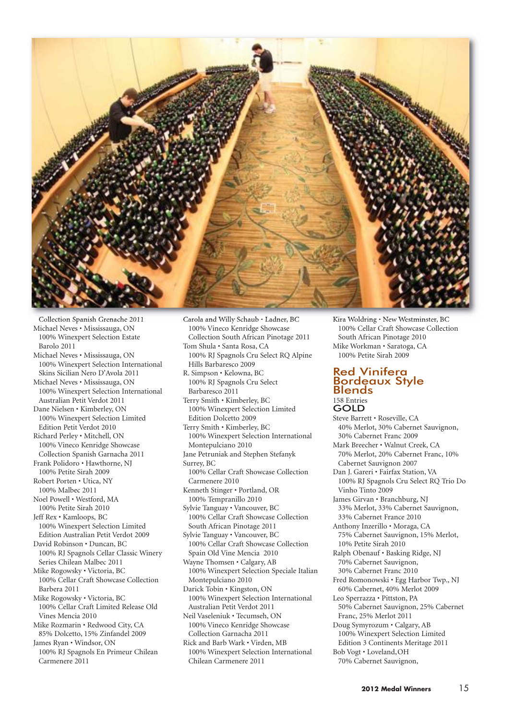

Collection Spanish Grenache 2011 Michael Neves • Mississauga, ON 100% Winexpert Selection Estate Barolo 2011 Michael Neves • Mississauga, ON 100% Winexpert Selection International Skins Sicilian Nero D'Avola 2011 Michael Neves • Mississauga, ON 100% Winexpert Selection International Australian Petit Verdot 2011 Dane Nielsen • Kimberley, ON 100% Winexpert Selection Limited Edition Petit Verdot 2010 Richard Perley • Mitchell, ON 100% Vineco Kenridge Showcase Collection Spanish Garnacha 2011 Frank Polidoro • Hawthorne, NJ 100% Petite Sirah 2009 Robert Porten • Utica, NY 100% Malbec 2011 Noel Powell • Westford, MA 100% Petite Sirah 2010 Jeff Rex • Kamloops, BC 100% Winexpert Selection Limited Edition Australian Petit Verdot 2009 David Robinson • Duncan, BC 100% RJ Spagnols Cellar Classic Winery Series Chilean Malbec 2011 Mike Rogowsky • Victoria, BC 100% Cellar Craft Showcase Collection Barbera 2011 Mike Rogowsky • Victoria, BC 100% Cellar Craft Limited Release Old Vines Mencia 2010 Mike Rozmarin • Redwood City, CA 85% Dolcetto, 15% Zinfandel 2009 James Ryan • Windsor, ON 100% RJ Spagnols En Primeur Chilean Carmenere 2011

100% Vineco Kenridge Showcase Collection South African Pinotage 2011 Tom Shula • Santa Rosa, CA 100% RJ Spagnols Cru Select RQ Alpine Hills Barbaresco 2009 R. Simpson • Kelowna, BC 100% RJ Spagnols Cru Select Barbaresco 2011 Terry Smith • Kimberley, BC 100% Winexpert Selection Limited Edition Dolcetto 2009 Terry Smith • Kimberley, BC 100% Winexpert Selection International Montepulciano 2010 Jane Petruniak and Stephen Stefanyk Surrey, BC 100% Cellar Craft Showcase Collection Carmenere 2010 Kenneth Stinger • Portland, OR 100% Tempranillo 2010 Sylvie Tanguay • Vancouver, BC 100% Cellar Craft Showcase Collection South African Pinotage 2011 Sylvie Tanguay • Vancouver, BC 100% Cellar Craft Showcase Collection Spain Old Vine Mencia 2010 Wayne Thomsen • Calgary, AB 100% Winexpert Selection Speciale Italian Montepulciano 2010 Darick Tobin • Kingston, ON 100% Winexpert Selection International Australian Petit Verdot 2011 Neil Vaseleniuk • Tecumseh, ON 100% Vineco Kenridge Showcase Collection Garnacha 2011 Rick and Barb Wark • Virden, MB 100% Winexpert Selection International Chilean Carmenere 2011

Kira Woldring • New Westminster, BC 100% Cellar Craft Showcase Collection South African Pinotage 2010 Mike Workman • Saratoga, CA 100% Petite Sirah 2009

#### Red Vinifera Bordeaux Style Blends 158 Entries

GOLD Steve Barrett • Roseville, CA 40% Merlot, 30% Cabernet Sauvignon, 30% Cabernet Franc 2009 Mark Breecher • Walnut Creek, CA 70% Merlot, 20% Cabernet Franc, 10% Cabernet Sauvignon 2007 Dan J. Gareri • Fairfax Station, VA 100% RJ Spagnols Cru Select RQ Trio Do Vinho Tinto 2009 James Girvan • Branchburg, NJ 33% Merlot, 33% Cabernet Sauvignon, 33% Cabernet France 2010 Anthony Inzerillo • Moraga, CA 75% Cabernet Sauvignon, 15% Merlot, 10% Petite Sirah 2010 Ralph Obenauf • Basking Ridge, NJ 70% Cabernet Sauvignon, 30% Cabernet Franc 2010 Fred Romonowski • Egg Harbor Twp., NJ 60% Cabernet, 40% Merlot 2009 Leo Sperrazza • Pittston, PA 50% Cabernet Sauvignon, 25% Cabernet Franc, 25% Merlot 2011 Doug Symyrozum • Calgary, AB 100% Winexpert Selection Limited Edition 3 Continents Meritage 2011 Bob Vogt • Loveland,OH 70% Cabernet Sauvignon,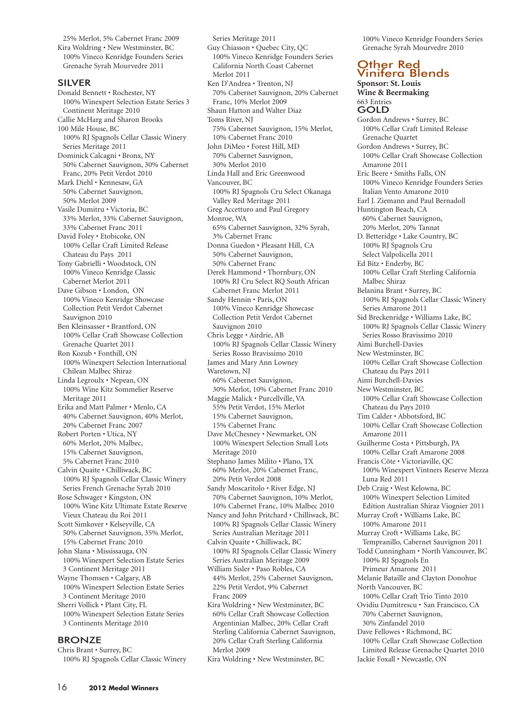25% Merlot, 5% Cabernet Franc 2009 Kira Woldring • New Westminster, BC 100% Vineco Kenridge Founders Series Grenache Syrah Mourvedre 2011

#### SILVER

Donald Bennett • Rochester, NY 100% Winexpert Selection Estate Series 3 Continent Meritage 2010 Callie McHarg and Sharon Brooks 100 Mile House, BC 100% RJ Spagnols Cellar Classic Winery Series Meritage 2011 Dominick Calcagni • Bronx, NY 50% Cabernet Sauvignon, 30% Cabernet Franc, 20% Petit Verdot 2010 Mark Diehl • Kennesaw, GA 50% Cabernet Sauvignon, 50% Merlot 2009 Vasile Dumitru • Victoria, BC 33% Merlot, 33% Cabernet Sauvignon, 33% Cabernet Franc 2011 David Foley • Etobicoke, ON 100% Cellar Craft Limited Release Chateau du Pays 2011 Tony Gabrielli • Woodstock, ON 100% Vineco Kenridge Classic Cabernet Merlot 2011 Dave Gibson • London, ON 100% Vineco Kenridge Showcase Collection Petit Verdot Cabernet Sauvignon 2010 Ben Kleinsasser • Brantford, ON 100% Cellar Craft Showcase Collection Grenache Quartet 2011 Ron Kozub • Fonthill, ON 100% Winexpert Selection International Chilean Malbec Shiraz Linda Legroulx • Nepean, ON 100% Wine Kitz Sommelier Reserve Meritage 2011 Erika and Matt Palmer • Menlo, CA 40% Cabernet Sauvignon, 40% Merlot, 20% Cabernet Franc 2007 Robert Porten • Utica, NY 60% Merlot, 20% Malbec, 15% Cabernet Sauvignon, 5% Cabernet Franc 2010 Calvin Quaite • Chilliwack, BC 100% RJ Spagnols Cellar Classic Winery Series French Grenache Syrah 2010 Rose Schwager • Kingston, ON 100% Wine Kitz Ultimate Estate Reserve Vieux Chateau du Roi 2011 Scott Simkover • Kelseyville, CA 50% Cabernet Sauvignon, 35% Merlot, 15% Cabernet Franc 2010 John Slana • Mississauga, ON 100% Winexpert Selection Estate Series 3 Continent Meritage 2011 Wayne Thomsen • Calgary, AB 100% Winexpert Selection Estate Series 3 Continent Meritage 2010 Sherri Vollick • Plant City, FL 100% Winexpert Selection Estate Series 3 Continents Meritage 2010

#### BRONZE

Chris Brant • Surrey, BC 100% RJ Spagnols Cellar Classic Winery

Series Meritage 2011 Guy Chiasson • Quebec City, QC 100% Vineco Kenridge Founders Series California North Coast Cabernet Merlot 2011 Ken D'Andrea • Trenton, NJ 70% Cabernet Sauvignon, 20% Cabernet Franc, 10% Merlot 2009 Shaun Hatton and Walter Diaz Toms River, NJ 75% Cabernet Sauvignon, 15% Merlot, 10% Cabernet Franc 2010 John DiMeo • Forest Hill, MD 70% Cabernet Sauvignon, 30% Merlot 2010 Linda Hall and Eric Greenwood Vancouver, BC 100% RJ Spagnols Cru Select Okanaga Valley Red Meritage 2011 Greg Accetturo and Paul Gregory Monroe, WA 65% Cabernet Sauvignon, 32% Syrah, 3% Cabernet Franc Donna Guedon • Pleasant Hill, CA 50% Cabernet Sauvignon, 50% Cabernet Franc Derek Hammond • Thornbury, ON 100% RJ Cru Select RQ South African Cabernet Franc Merlot 2011 Sandy Hennin • Paris, ON 100% Vineco Kenridge Showcase Collection Petit Verdot Cabernet Sauvignon 2010 Chris Legge • Airdrie, AB 100% RJ Spagnols Cellar Classic Winery Series Rosso Bravissimo 2010 James and Mary Ann Lowney Waretown, NJ 60% Cabernet Sauvignon, 30% Merlot, 10% Cabernet Franc 2010 Maggie Malick • Purcellville, VA 55% Petit Verdot, 15% Merlot 15% Cabernet Sauvignon, 15% Cabernet Franc Dave McChesney • Newmarket, ON 100% Winexpert Selection Small Lots Meritage 2010 Stephano James Milito • Plano, TX 60% Merlot, 20% Cabernet Franc, 20% Petit Verdot 2008 Sandy Moscaritolo • River Edge, NJ 70% Cabernet Sauvignon, 10% Merlot, 10% Cabernet Franc, 10% Malbec 2010 Nancy and John Pritchard • Chilliwack, BC 100% RJ Spagnols Cellar Classic Winery Series Australian Meritage 2011 Calvin Quaite • Chilliwack, BC 100% RJ Spagnols Cellar Classic Winery Series Australian Meritage 2009 William Sisler • Paso Robles, CA 44% Merlot, 25% Cabernet Sauvignon, 22% Petit Verdot, 9% Cabernet Franc 2009 Kira Woldring • New Westminster, BC 60% Cellar Craft Showcase Collection Argentinian Malbec, 20% Cellar Craft Sterling California Cabernet Sauvignon, 20% Cellar Craft Sterling California Merlot 2009

Kira Woldring • New Westminster, BC

100% Vineco Kenridge Founders Series Grenache Syrah Mourvedre 2010

## Other Red Vinifera Blends

**Sponsor: St. Louis Wine & Beermaking** 663 Entries GOLD Gordon Andrews • Surrey, BC 100% Cellar Craft Limited Release Grenache Quartet Gordon Andrews • Surrey, BC 100% Cellar Craft Showcase Collection Amarone 2011 Eric Beere • Smiths Falls, ON 100% Vineco Kenridge Founders Series Italian Vento Amarone 2010 Earl J. Ziemann and Paul Bernadoll Huntington Beach, CA 60% Cabernet Sauvignon, 20% Merlot, 20% Tannat D. Betteridge • Lake Country, BC 100% RJ Spagnols Cru Select Valpolicella 2011 Ed Bitz • Enderby, BC 100% Cellar Craft Sterling California Malbec Shiraz Belanina Brant • Surrey, BC 100% RJ Spagnols Cellar Classic Winery Series Amarone 2011 Sid Breckenridge • Williams Lake, BC 100% RJ Spagnols Cellar Classic Winery Series Rosso Bravissimo 2010 Aimi Burchell-Davies New Westminster, BC 100% Cellar Craft Showcase Collection Chateau du Pays 2011 Aimi Burchell-Davies New Westminster, BC 100% Cellar Craft Showcase Collection Chateau du Pays 2010 Tim Calder • Abbotsford, BC 100% Cellar Craft Showcase Collection Amarone 2011 Guilherme Costa • Pittsburgh, PA 100% Cellar Craft Amarone 2008 Francis Côte • Victoriaville, QC 100% Winexpert Vintners Reserve Mezza Luna Red 2011 Deb Craig • West Kelowna, BC 100% Winexpert Selection Limited Edition Australian Shiraz Viognier 2011 Murray Croft • Williams Lake, BC 100% Amarone 2011 Murray Croft • Williams Lake, BC Tempranillo, Cabernet Sauvignon 2011 Todd Cunningham • North Vancouver, BC 100% RJ Spagnols En Primeur Amarone 2011 Melanie Bataille and Clayton Donohue North Vancouver, BC 100% Cellar Craft Trio Tinto 2010 Ovidiu Dumitrescu • San Francisco, CA 70% Cabernet Sauvignon, 30% Zinfandel 2010 Dave Fellowes • Richmond, BC 100% Cellar Craft Showcase Collection Limited Release Grenache Quartet 2010 Jackie Foxall • Newcastle, ON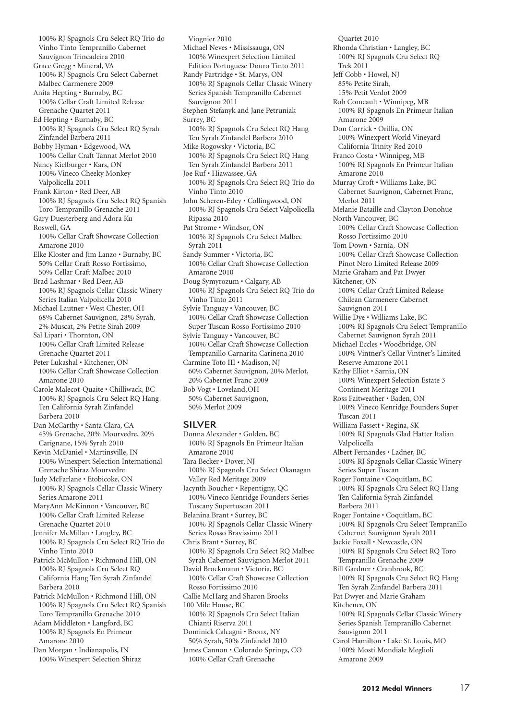100% RJ Spagnols Cru Select RQ Trio do Vinho Tinto Tempranillo Cabernet Sauvignon Trincadeira 2010 Grace Gregg • Mineral, VA 100% RJ Spagnols Cru Select Cabernet Malbec Carmenere 2009 Anita Hepting • Burnaby, BC 100% Cellar Craft Limited Release Grenache Quartet 2011 Ed Hepting • Burnaby, BC 100% RJ Spagnols Cru Select RQ Syrah Zinfandel Barbera 2011 Bobby Hyman • Edgewood, WA 100% Cellar Craft Tannat Merlot 2010 Nancy Kielburger • Kars, ON 100% Vineco Cheeky Monkey Valpolicella 2011 Frank Kirton • Red Deer, AB 100% RJ Spagnols Cru Select RQ Spanish Toro Tempranillo Grenache 2011 Gary Duesterberg and Adora Ku Roswell, GA 100% Cellar Craft Showcase Collection Amarone 2010 Elke Kloster and Jim Lanzo • Burnaby, BC 50% Cellar Craft Rosso Fortissimo, 50% Cellar Craft Malbec 2010 Brad Lashmar • Red Deer, AB 100% RJ Spagnols Cellar Classic Winery Series Italian Valpolicella 2010 Michael Lautner • West Chester, OH 68% Cabernet Sauvignon, 28% Syrah, 2% Muscat, 2% Petite Sirah 2009 Sal Lipari • Thornton, ON 100% Cellar Craft Limited Release Grenache Quartet 2011 Peter Lukashal • Kitchener, ON 100% Cellar Craft Showcase Collection Amarone 2010 Carole Malecot-Quaite • Chilliwack, BC 100% RJ Spagnols Cru Select RQ Hang Ten California Syrah Zinfandel Barbera 2010 Dan McCarthy • Santa Clara, CA 45% Grenache, 20% Mourvedre, 20% Carignane, 15% Syrah 2010 Kevin McDaniel • Martinsville, IN 100% Winexpert Selection International Grenache Shiraz Mourvedre Judy McFarlane • Etobicoke, ON 100% RJ Spagnols Cellar Classic Winery Series Amarone 2011 MaryAnn McKinnon • Vancouver, BC 100% Cellar Craft Limited Release Grenache Quartet 2010 Jennifer McMillan • Langley, BC 100% RJ Spagnols Cru Select RQ Trio do Vinho Tinto 2010 Patrick McMullon • Richmond Hill, ON 100% RJ Spagnols Cru Select RQ California Hang Ten Syrah Zinfandel Barbera 2010 Patrick McMullon • Richmond Hill, ON 100% RJ Spagnols Cru Select RQ Spanish Toro Tempranillo Grenache 2010 Adam Middleton • Langford, BC 100% RJ Spagnols En Primeur Amarone 2010 Dan Morgan • Indianapolis, IN

100% Winexpert Selection Shiraz

Viognier 2010 Michael Neves • Mississauga, ON 100% Winexpert Selection Limited Edition Portuguese Douro Tinto 2011 Randy Partridge • St. Marys, ON 100% RJ Spagnols Cellar Classic Winery Series Spanish Tempranillo Cabernet Sauvignon 2011 Stephen Stefanyk and Jane Petruniak Surrey, BC 100% RJ Spagnols Cru Select RQ Hang Ten Syrah Zinfandel Barbera 2010 Mike Rogowsky • Victoria, BC 100% RJ Spagnols Cru Select RQ Hang Ten Syrah Zinfandel Barbera 2011 Joe Ruf • Hiawassee, GA 100% RJ Spagnols Cru Select RQ Trio do Vinho Tinto 2010 John Scheren-Edey • Collingwood, ON 100% RJ Spagnols Cru Select Valpolicella Ripassa 2010 Pat Strome • Windsor, ON 100% RJ Spagnols Cru Select Malbec Syrah 2011 Sandy Summer • Victoria, BC 100% Cellar Craft Showcase Collection Amarone 2010 Doug Symyrozum • Calgary, AB 100% RJ Spagnols Cru Select RQ Trio do Vinho Tinto 2011 Sylvie Tanguay • Vancouver, BC 100% Cellar Craft Showcase Collection Super Tuscan Rosso Fortissimo 2010 Sylvie Tanguay • Vancouver, BC 100% Cellar Craft Showcase Collection Tempranillo Carnarita Carinena 2010 Carmine Toto III • Madison, NJ 60% Cabernet Sauvignon, 20% Merlot, 20% Cabernet Franc 2009 Bob Vogt • Loveland,OH 50% Cabernet Sauvignon, 50% Merlot 2009

#### SILVER

Donna Alexander • Golden, BC 100% RJ Spagnols En Primeur Italian Amarone 2010 Tara Becker • Dover, NJ 100% RJ Spagnols Cru Select Okanagan Valley Red Meritage 2009 Jacynth Boucher • Repentigny, QC 100% Vineco Kenridge Founders Series Tuscany Supertuscan 2011 Belanina Brant • Surrey, BC 100% RJ Spagnols Cellar Classic Winery Series Rosso Bravissimo 2011 Chris Brant • Surrey, BC 100% RJ Spagnols Cru Select RQ Malbec Syrah Cabernet Sauvignon Merlot 2011 David Brockmann • Victoria, BC 100% Cellar Craft Showcase Collection Rosso Fortissimo 2010 Callie McHarg and Sharon Brooks 100 Mile House, BC 100% RJ Spagnols Cru Select Italian Chianti Riserva 2011 Dominick Calcagni • Bronx, NY 50% Syrah, 50% Zinfandel 2010 James Cannon • Colorado Springs, CO 100% Cellar Craft Grenache

Quartet 2010 Rhonda Christian • Langley, BC 100% RJ Spagnols Cru Select RQ Trek 2011 Jeff Cobb • Howel, NJ 85% Petite Sirah, 15% Petit Verdot 2009 Rob Comeault • Winnipeg, MB 100% RJ Spagnols En Primeur Italian Amarone 2009 Don Corrick • Orillia, ON 100% Winexpert World Vineyard California Trinity Red 2010 Franco Costa • Winnipeg, MB 100% RJ Spagnols En Primeur Italian Amarone 2010 Murray Croft • Williams Lake, BC Cabernet Sauvignon, Cabernet Franc, Merlot 2011 Melanie Bataille and Clayton Donohue North Vancouver, BC 100% Cellar Craft Showcase Collection Rosso Fortissimo 2010 Tom Down • Sarnia, ON 100% Cellar Craft Showcase Collection Pinot Nero Limited Release 2009 Marie Graham and Pat Dwyer Kitchener, ON 100% Cellar Craft Limited Release Chilean Carmenere Cabernet Sauvignon 2011 Willie Dye • Williams Lake, BC 100% RJ Spagnols Cru Select Tempranillo Cabernet Sauvignon Syrah 2011 Michael Eccles • Woodbridge, ON 100% Vintner's Cellar Vintner's Limited Reserve Amarone 2011 Kathy Elliot • Sarnia, ON 100% Winexpert Selection Estate 3 Continent Meritage 2011 Ross Faitweather • Baden, ON 100% Vineco Kenridge Founders Super Tuscan 2011 William Fassett • Regina, SK 100% RJ Spagnols Glad Hatter Italian Valpolicella Albert Fernandes • Ladner, BC 100% RJ Spagnols Cellar Classic Winery Series Super Tuscan Roger Fontaine • Coquitlam, BC 100% RJ Spagnols Cru Select RQ Hang Ten California Syrah Zinfandel Barbera 2011 Roger Fontaine • Coquitlam, BC 100% RJ Spagnols Cru Select Tempranillo Cabernet Sauvignon Syrah 2011 Jackie Foxall • Newcastle, ON 100% RJ Spagnols Cru Select RQ Toro Tempranillo Grenache 2009 Bill Gardner • Cranbrook, BC 100% RJ Spagnols Cru Select RQ Hang Ten Syrah Zinfandel Barbera 2011 Pat Dwyer and Marie Graham Kitchener, ON 100% RJ Spagnols Cellar Classic Winery Series Spanish Tempranillo Cabernet Sauvignon 2011 Carol Hamilton • Lake St. Louis, MO 100% Mosti Mondiale Meglioli Amarone 2009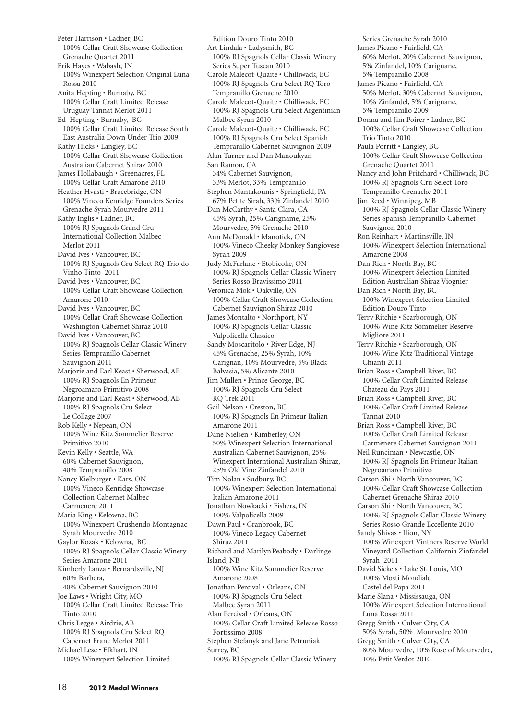Peter Harrison • Ladner, BC 100% Cellar Craft Showcase Collection Grenache Quartet 2011 Erik Hayes • Wabash, IN 100% Winexpert Selection Original Luna Rossa 2010 Anita Hepting • Burnaby, BC 100% Cellar Craft Limited Release Uruguay Tannat Merlot 2011 Ed Hepting • Burnaby, BC 100% Cellar Craft Limited Release South East Australia Down Under Trio 2009 Kathy Hicks • Langley, BC 100% Cellar Craft Showcase Collection Australian Cabernet Shiraz 2010 James Hollabaugh • Greenacres, FL 100% Cellar Craft Amarone 2010 Heather Hvasti • Bracebridge, ON 100% Vineco Kenridge Founders Series Grenache Syrah Mourvedre 2011 Kathy Inglis • Ladner, BC 100% RJ Spagnols Crand Cru International Collection Malbec Merlot 2011 David Ives • Vancouver, BC 100% RJ Spagnols Cru Select RQ Trio do Vinho Tinto 2011 David Ives • Vancouver, BC 100% Cellar Craft Showcase Collection Amarone 2010 David Ives • Vancouver, BC 100% Cellar Craft Showcase Collection Washington Cabernet Shiraz 2010 David Ives • Vancouver, BC 100% RJ Spagnols Cellar Classic Winery Series Tempranillo Cabernet Sauvignon 2011 Marjorie and Earl Keast • Sherwood, AB 100% RJ Spagnols En Primeur Negroamaro Primitivo 2008 Marjorie and Earl Keast • Sherwood, AB 100% RJ Spagnols Cru Select Le Collage 2007 Rob Kelly • Nepean, ON 100% Wine Kitz Sommelier Reserve Primitivo 2010 Kevin Kelly • Seattle, WA 60% Cabernet Sauvignon, 40% Tempranillo 2008 Nancy Kielburger • Kars, ON 100% Vineco Kenridge Showcase Collection Cabernet Malbec Carmenere 2011 Maria King • Kelowna, BC 100% Winexpert Crushendo Montagnac Syrah Mourvedre 2010 Gaylor Kozak • Kelowna, BC 100% RJ Spagnols Cellar Classic Winery Series Amarone 2011 Kimberly Lanza • Bernardsville, NJ 60% Barbera, 40% Cabernet Sauvignon 2010 Joe Laws • Wright City, MO 100% Cellar Craft Limited Release Trio Tinto 2010 Chris Legge • Airdrie, AB 100% RJ Spagnols Cru Select RQ Cabernet Franc Merlot 2011 Michael Lese • Elkhart, IN 100% Winexpert Selection Limited

Edition Douro Tinto 2010 Art Lindala • Ladysmith, BC 100% RJ Spagnols Cellar Classic Winery Series Super Tuscan 2010 Carole Malecot-Quaite • Chilliwack, BC 100% RJ Spagnols Cru Select RQ Toro Tempranillo Grenache 2010 Carole Malecot-Quaite • Chilliwack, BC 100% RJ Spagnols Cru Select Argentinian Malbec Syrah 2010 Carole Malecot-Quaite • Chilliwack, BC 100% RJ Spagnols Cru Select Spanish Tempranillo Cabernet Sauvignon 2009 Alan Turner and Dan Manoukyan San Ramon, CA 34% Cabernet Sauvignon, 33% Merlot, 33% Tempranillo Stephen Mantakounis • Springfield, PA 67% Petite Sirah, 33% Zinfandel 2010 Dan McCarthy • Santa Clara, CA 45% Syrah, 25% Carigname, 25% Mourvedre, 5% Grenache 2010 Ann McDonald • Manotick, ON 100% Vineco Cheeky Monkey Sangiovese Syrah 2009 Judy McFarlane • Etobicoke, ON 100% RJ Spagnols Cellar Classic Winery Series Rosso Bravissimo 2011 Veronica Mok • Oakville, ON 100% Cellar Craft Showcase Collection Cabernet Sauvignon Shiraz 2010 James Montalto • Northport, NY 100% RJ Spagnols Cellar Classic Valpolicella Classico Sandy Moscaritolo • River Edge, NJ 45% Grenache, 25% Syrah, 10% Carignan, 10% Mourvedre, 5% Black Balvasia, 5% Alicante 2010 Jim Mullen • Prince George, BC 100% RJ Spagnols Cru Select RQ Trek 2011 Gail Nelson • Creston, BC 100% RJ Spagnols En Primeur Italian Amarone 2011 Dane Nielsen • Kimberley, ON 50% Winexpert Selection International Australian Cabernet Sauvignon, 25% Winexpert Interntional Australian Shiraz, 25% Old Vine Zinfandel 2010 Tim Nolan • Sudbury, BC 100% Winexpert Selection International Italian Amarone 2011 Jonathan Nowkacki • Fishers, IN 100% Valpolicella 2009 Dawn Paul • Cranbrook, BC 100% Vineco Legacy Cabernet Shiraz 2011 Richard and MarilynPeabody • Darlinge Island, NB 100% Wine Kitz Sommelier Reserve Amarone 2008 Jonathan Percival • Orleans, ON 100% RJ Spagnols Cru Select Malbec Syrah 2011 Alan Percival • Orleans, ON 100% Cellar Craft Limited Release Rosso Fortissimo 2008 Stephen Stefanyk and Jane Petruniak Surrey, BC

100% RJ Spagnols Cellar Classic Winery

Series Grenache Syrah 2010 James Picano • Fairfield, CA 60% Merlot, 20% Cabernet Sauvignon, 5% Zinfandel, 10% Carignane, 5% Tempranillo 2008 James Picano • Fairfield, CA 50% Merlot, 30% Cabernet Sauvignon, 10% Zinfandel, 5% Carignane, 5% Tempranillo 2009 Donna and Jim Poirer • Ladner, BC 100% Cellar Craft Showcase Collection Trio Tinto 2010 Paula Porritt • Langley, BC 100% Cellar Craft Showcase Collection Grenache Quartet 2011 Nancy and John Pritchard • Chilliwack, BC 100% RJ Spagnols Cru Select Toro Tempranillo Grenache 2011 Jim Reed • Winnipeg, MB 100% RJ Spagnols Cellar Classic Winery Series Spanish Tempranillo Cabernet Sauvignon 2010 Ron Reinhart • Martinsville, IN 100% Winexpert Selection International Amarone 2008 Dan Rich • North Bay, BC 100% Winexpert Selection Limited Edition Australian Shiraz Viognier Dan Rich • North Bay, BC 100% Winexpert Selection Limited Edition Douro Tinto Terry Ritchie • Scarborough, ON 100% Wine Kitz Sommelier Reserve Migliore 2011 Terry Ritchie • Scarborough, ON 100% Wine Kitz Traditional Vintage Chianti 2011 Brian Ross • Campbell River, BC 100% Cellar Craft Limited Release Chateau du Pays 2011 Brian Ross • Campbell River, BC 100% Cellar Craft Limited Release Tannat 2010 Brian Ross • Campbell River, BC 100% Cellar Craft Limited Release Carmenere Cabernet Sauvignon 2011 Neil Runciman • Newcastle, ON 100% RJ Spagnols En Primeur Italian Negroamaro Primitivo Carson Shi • North Vancouver, BC 100% Cellar Craft Showcase Collection Cabernet Grenache Shiraz 2010 Carson Shi • North Vancouver, BC 100% RJ Spagnols Cellar Classic Winery Series Rosso Grande Eccellente 2010 Sandy Shivas • Ilion, NY 100% Winexpert Vintners Reserve World Vineyard Collection California Zinfandel Syrah 2011 David Sickels • Lake St. Louis, MO 100% Mosti Mondiale Castel del Papa 2011 Marie Slana • Mississauga, ON 100% Winexpert Selection International Luna Rossa 2011 Gregg Smith • Culver City, CA 50% Syrah, 50% Mourvedre 2010 Gregg Smith • Culver City, CA 80% Mourvedre, 10% Rose of Mourvedre, 10% Petit Verdot 2010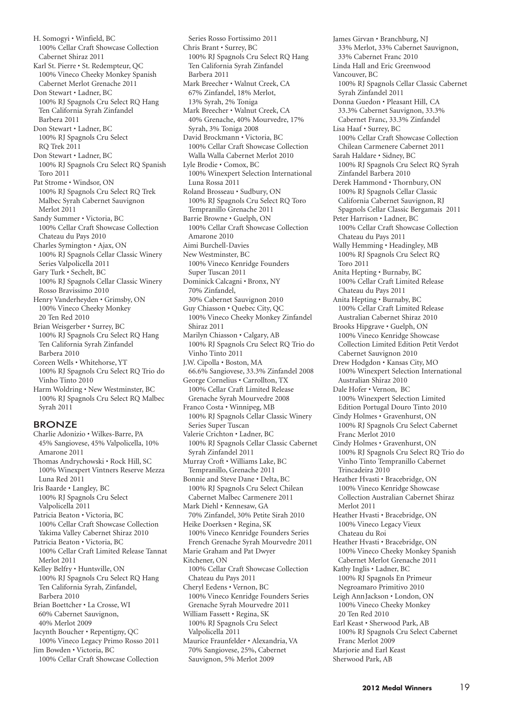H. Somogyi • Winfield, BC 100% Cellar Craft Showcase Collection Cabernet Shiraz 2011 Karl St. Pierre • St. Redempteur, QC 100% Vineco Cheeky Monkey Spanish Cabernet Merlot Grenache 2011 Don Stewart • Ladner, BC 100% RJ Spagnols Cru Select RQ Hang Ten California Syrah Zinfandel Barbera 2011 Don Stewart • Ladner, BC 100% RJ Spagnols Cru Select RQ Trek 2011 Don Stewart • Ladner, BC 100% RJ Spagnols Cru Select RQ Spanish Toro 2011 Pat Strome • Windsor, ON 100% RJ Spagnols Cru Select RQ Trek Malbec Syrah Cabernet Sauvignon Merlot 2011 Sandy Summer • Victoria, BC 100% Cellar Craft Showcase Collection Chateau du Pays 2010 Charles Symington • Ajax, ON 100% RJ Spagnols Cellar Classic Winery Series Valpolicella 2011 Gary Turk • Sechelt, BC 100% RJ Spagnols Cellar Classic Winery Rosso Bravissimo 2010 Henry Vanderheyden • Grimsby, ON 100% Vineco Cheeky Monkey 20 Ten Red 2010 Brian Weisgerber • Surrey, BC 100% RJ Spagnols Cru Select RQ Hang Ten California Syrah Zinfandel Barbera 2010 Coreen Wells • Whitehorse, YT 100% RJ Spagnols Cru Select RQ Trio do Vinho Tinto 2010 Harm Woldring • New Westminster, BC 100% RJ Spagnols Cru Select RQ Malbec Syrah 2011 BRONZE Charlie Adonizio • Wilkes-Barre, PA

- 45% Sangiovese, 45% Valpolicella, 10% Amarone 2011 Thomas Andrychowski • Rock Hill, SC 100% Winexpert Vintners Reserve Mezza Luna Red 2011 Iris Baarde • Langley, BC 100% RJ Spagnols Cru Select Valpolicella 2011 Patricia Beaton • Victoria, BC 100% Cellar Craft Showcase Collection Yakima Valley Cabernet Shiraz 2010 Patricia Beaton • Victoria, BC 100% Cellar Craft Limited Release Tannat Merlot 2011 Kelley Belfry • Huntsville, ON 100% RJ Spagnols Cru Select RQ Hang Ten California Syrah, Zinfandel, Barbera 2010 Brian Boettcher • La Crosse, WI 60% Cabernet Sauvignon, 40% Merlot 2009 Jacynth Boucher • Repentigny, QC 100% Vineco Legacy Primo Rosso 2011 Jim Bowden • Victoria, BC
	- 100% Cellar Craft Showcase Collection

Series Rosso Fortissimo 2011 Chris Brant • Surrey, BC 100% RJ Spagnols Cru Select RQ Hang Ten California Syrah Zinfandel Barbera 2011 Mark Breecher • Walnut Creek, CA 67% Zinfandel, 18% Merlot, 13% Syrah, 2% Toniga Mark Breecher • Walnut Creek, CA 40% Grenache, 40% Mourvedre, 17% Syrah, 3% Toniga 2008 David Brockmann • Victoria, BC 100% Cellar Craft Showcase Collection Walla Walla Cabernet Merlot 2010 Lyle Brodie • Comox, BC 100% Winexpert Selection International Luna Rossa 2011 Roland Brosseau • Sudbury, ON 100% RJ Spagnols Cru Select RQ Toro Tempranillo Grenache 2011 Barrie Browne • Guelph, ON 100% Cellar Craft Showcase Collection Amarone 2010 Aimi Burchell-Davies New Westminster, BC 100% Vineco Kenridge Founders Super Tuscan 2011 Dominick Calcagni • Bronx, NY 70% Zinfandel, 30% Cabernet Sauvignon 2010 Guy Chiasson • Quebec City, QC 100% Vineco Cheeky Monkey Zinfandel Shiraz 2011 Marilyn Chiasson • Calgary, AB 100% RJ Spagnols Cru Select RQ Trio do Vinho Tinto 2011 J.W. Cipolla • Boston, MA 66.6% Sangiovese, 33.3% Zinfandel 2008 George Cornelius • Carrollton, TX 100% Cellar Craft Limited Release Grenache Syrah Mourvedre 2008 Franco Costa • Winnipeg, MB 100% RJ Spagnols Cellar Classic Winery Series Super Tuscan Valerie Crichton • Ladner, BC 100% RJ Spagnols Cellar Classic Cabernet Syrah Zinfandel 2011 Murray Croft • Williams Lake, BC Tempranillo, Grenache 2011 Bonnie and Steve Dane • Delta, BC 100% RJ Spagnols Cru Select Chilean Cabernet Malbec Carmenere 2011 Mark Diehl • Kennesaw, GA 70% Zinfandel, 30% Petite Sirah 2010 Heike Doerksen • Regina, SK 100% Vineco Kenridge Founders Series French Grenache Syrah Mourvedre 2011 Marie Graham and Pat Dwyer Kitchener, ON 100% Cellar Craft Showcase Collection Chateau du Pays 2011 Cheryl Eedens • Vernon, BC 100% Vineco Kenridge Founders Series Grenache Syrah Mourvedre 2011 William Fassett • Regina, SK 100% RJ Spagnols Cru Select Valpolicella 2011 Maurice Fraunfelder • Alexandria, VA 70% Sangiovese, 25%, Cabernet Sauvignon, 5% Merlot 2009

James Girvan • Branchburg, NJ 33% Merlot, 33% Cabernet Sauvignon, 33% Cabernet Franc 2010 Linda Hall and Eric Greenwood Vancouver, BC 100% RJ Spagnols Cellar Classic Cabernet Syrah Zinfandel 2011 Donna Guedon • Pleasant Hill, CA 33.3% Cabernet Sauvignon, 33.3% Cabernet Franc, 33.3% Zinfandel Lisa Haaf • Surrey, BC 100% Cellar Craft Showcase Collection Chilean Carmenere Cabernet 2011 Sarah Haldare • Sidney, BC 100% RJ Spagnols Cru Select RQ Syrah Zinfandel Barbera 2010 Derek Hammond • Thornbury, ON 100% RJ Spagnols Cellar Classic California Cabernet Sauvignon, RJ Spagnols Cellar Classic Bergamais 2011 Peter Harrison • Ladner, BC 100% Cellar Craft Showcase Collection Chateau du Pays 2011 Wally Hemming • Headingley, MB 100% RJ Spagnols Cru Select RQ Toro 2011 Anita Hepting • Burnaby, BC 100% Cellar Craft Limited Release Chateau du Pays 2011 Anita Hepting • Burnaby, BC 100% Cellar Craft Limited Release Australian Cabernet Shiraz 2010 Brooks Hipgrave • Guelph, ON 100% Vineco Kenridge Showcase Collection Limited Edition Petit Verdot Cabernet Sauvignon 2010 Drew Hodgdon • Kansas City, MO 100% Winexpert Selection International Australian Shiraz 2010 Dale Hofer • Vernon, BC 100% Winexpert Selection Limited Edition Portugal Douro Tinto 2010 Cindy Holmes • Gravenhurst, ON 100% RJ Spagnols Cru Select Cabernet Franc Merlot 2010 Cindy Holmes • Gravenhurst, ON 100% RJ Spagnols Cru Select RQ Trio do Vinho Tinto Tempranillo Cabernet Trincadeira 2010 Heather Hvasti • Bracebridge, ON 100% Vineco Kenridge Showcase Collection Australian Cabernet Shiraz Merlot 2011 Heather Hvasti • Bracebridge, ON 100% Vineco Legacy Vieux Chateau du Roi Heather Hvasti • Bracebridge, ON 100% Vineco Cheeky Monkey Spanish Cabernet Merlot Grenache 2011 Kathy Inglis • Ladner, BC 100% RJ Spagnols En Primeur Negroamaro Primitivo 2010 Leigh AnnJackson • London, ON 100% Vineco Cheeky Monkey 20 Ten Red 2010 Earl Keast • Sherwood Park, AB 100% RJ Spagnols Cru Select Cabernet Franc Merlot 2009 Marjorie and Earl Keast

Sherwood Park, AB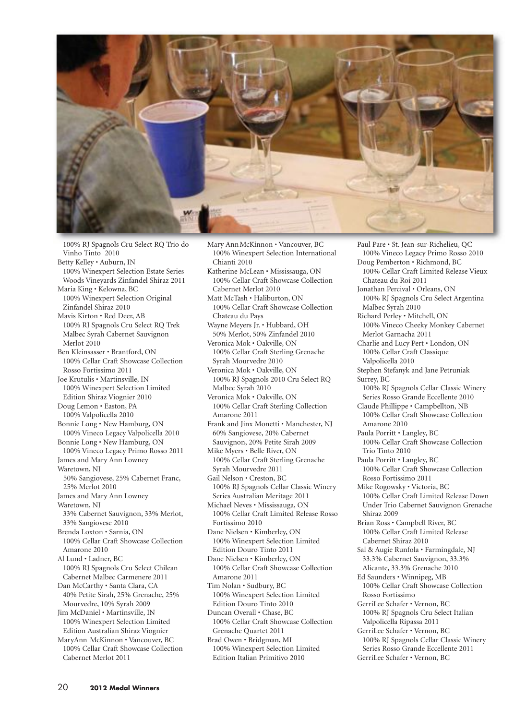

100% RJ Spagnols Cru Select RQ Trio do Vinho Tinto 2010

- Betty Kelley Auburn, IN 100% Winexpert Selection Estate Series Woods Vineyards Zinfandel Shiraz 2011
- Maria King Kelowna, BC 100% Winexpert Selection Original Zinfandel Shiraz 2010
- Mavis Kirton Red Deer, AB 100% RJ Spagnols Cru Select RQ Trek Malbec Syrah Cabernet Sauvignon Merlot 2010
- Ben Kleinsasser Brantford, ON 100% Cellar Craft Showcase Collection Rosso Fortissimo 2011
- Joe Krutulis Martinsville, IN 100% Winexpert Selection Limited Edition Shiraz Viognier 2010
- Doug Lemon Easton, PA 100% Valpolicella 2010
- Bonnie Long New Hamburg, ON 100% Vineco Legacy Valpolicella 2010
- Bonnie Long New Hamburg, ON 100% Vineco Legacy Primo Rosso 2011
- James and Mary Ann Lowney Waretown, NJ 50% Sangiovese, 25% Cabernet Franc, 25% Merlot 2010 James and Mary Ann Lowney
- Waretown, NJ 33% Cabernet Sauvignon, 33% Merlot,
- 33% Sangiovese 2010 Brenda Loxton • Sarnia, ON
- 100% Cellar Craft Showcase Collection Amarone 2010

Al Lund • Ladner, BC 100% RJ Spagnols Cru Select Chilean Cabernet Malbec Carmenere 2011

- Dan McCarthy Santa Clara, CA 40% Petite Sirah, 25% Grenache, 25% Mourvedre, 10% Syrah 2009
- Jim McDaniel Martinsville, IN 100% Winexpert Selection Limited Edition Australian Shiraz Viognier

MaryAnn McKinnon • Vancouver, BC 100% Cellar Craft Showcase Collection Cabernet Merlot 2011

- Mary Ann McKinnon Vancouver, BC 100% Winexpert Selection International Chianti 2010
- Katherine McLean Mississauga, ON 100% Cellar Craft Showcase Collection Cabernet Merlot 2010
- Matt McTash Haliburton, ON 100% Cellar Craft Showcase Collection Chateau du Pays
- Wayne Meyers Jr. Hubbard, OH 50% Merlot, 50% Zinfandel 2010
- Veronica Mok Oakville, ON 100% Cellar Craft Sterling Grenache Syrah Mourvedre 2010
- Veronica Mok Oakville, ON 100% RJ Spagnols 2010 Cru Select RQ Malbec Syrah 2010
- Veronica Mok Oakville, ON 100% Cellar Craft Sterling Collection Amarone 2011
- Frank and Jinx Monetti Manchester, NJ 60% Sangiovese, 20% Cabernet Sauvignon, 20% Petite Sirah 2009

Mike Myers • Belle River, ON 100% Cellar Craft Sterling Grenache Syrah Mourvedre 2011

- Gail Nelson Creston, BC 100% RJ Spagnols Cellar Classic Winery Series Australian Meritage 2011
- Michael Neves Mississauga, ON 100% Cellar Craft Limited Release Rosso Fortissimo 2010
- Dane Nielsen Kimberley, ON 100% Winexpert Selection Limited Edition Douro Tinto 2011
- Dane Nielsen Kimberley, ON 100% Cellar Craft Showcase Collection Amarone 2011
- Tim Nolan Sudbury, BC 100% Winexpert Selection Limited Edition Douro Tinto 2010

Duncan Overall • Chase, BC 100% Cellar Craft Showcase Collection Grenache Quartet 2011

Brad Owen • Bridgman, MI 100% Winexpert Selection Limited Edition Italian Primitivo 2010

100% Vineco Legacy Primo Rosso 2010 Doug Pemberton • Richmond, BC 100% Cellar Craft Limited Release Vieux Chateau du Roi 2011 Jonathan Percival • Orleans, ON 100% RJ Spagnols Cru Select Argentina Malbec Syrah 2010 Richard Perley • Mitchell, ON 100% Vineco Cheeky Monkey Cabernet Merlot Garnacha 2011 Charlie and Lucy Pert • London, ON 100% Cellar Craft Classique Valpolicella 2010 Stephen Stefanyk and Jane Petruniak Surrey, BC 100% RJ Spagnols Cellar Classic Winery Series Rosso Grande Eccellente 2010 Claude Phillippe • Campbellton, NB 100% Cellar Craft Showcase Collection Amarone 2010 Paula Porritt • Langley, BC 100% Cellar Craft Showcase Collection Trio Tinto 2010 Paula Porritt • Langley, BC 100% Cellar Craft Showcase Collection Rosso Fortissimo 2011 Mike Rogowsky • Victoria, BC 100% Cellar Craft Limited Release Down Under Trio Cabernet Sauvignon Grenache Shiraz 2009 Brian Ross • Campbell River, BC 100% Cellar Craft Limited Release Cabernet Shiraz 2010 Sal & Augie Runfola • Farmingdale, NJ 33.3% Cabernet Sauvignon, 33.3% Alicante, 33.3% Grenache 2010 Ed Saunders • Winnipeg, MB 100% Cellar Craft Showcase Collection Rosso Fortissimo GerriLee Schafer • Vernon, BC 100% RJ Spagnols Cru Select Italian Valpolicella Ripassa 2011 GerriLee Schafer • Vernon, BC 100% RJ Spagnols Cellar Classic Winery Series Rosso Grande Eccellente 2011 GerriLee Schafer • Vernon, BC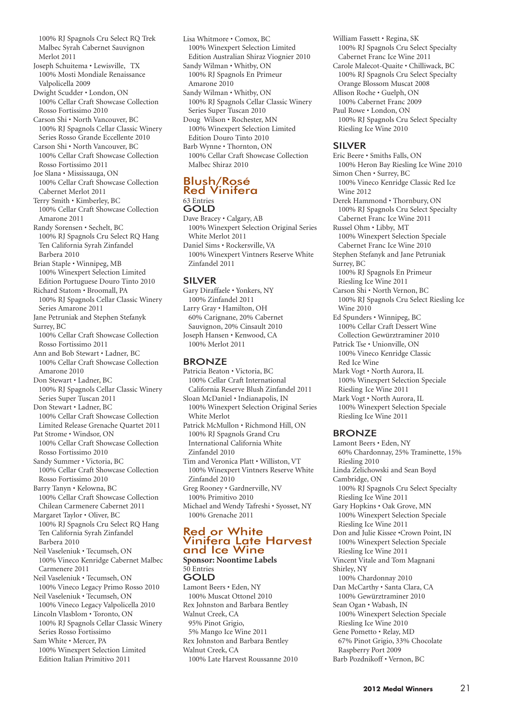100% RJ Spagnols Cru Select RQ Trek Malbec Syrah Cabernet Sauvignon Merlot 2011

Joseph Schuitema • Lewisville, TX 100% Mosti Mondiale Renaissance Valpolicella 2009

Dwight Scudder • London, ON 100% Cellar Craft Showcase Collection Rosso Fortissimo 2010

Carson Shi • North Vancouver, BC 100% RJ Spagnols Cellar Classic Winery Series Rosso Grande Eccellente 2010

Carson Shi • North Vancouver, BC 100% Cellar Craft Showcase Collection Rosso Fortissimo 2011

Joe Slana • Mississauga, ON 100% Cellar Craft Showcase Collection Cabernet Merlot 2011

Terry Smith • Kimberley, BC 100% Cellar Craft Showcase Collection Amarone 2011

Randy Sorensen • Sechelt, BC 100% RJ Spagnols Cru Select RQ Hang Ten California Syrah Zinfandel Barbera 2010

Brian Staple • Winnipeg, MB 100% Winexpert Selection Limited Edition Portuguese Douro Tinto 2010

Richard Statom • Broomall, PA 100% RJ Spagnols Cellar Classic Winery Series Amarone 2011

Jane Petruniak and Stephen Stefanyk Surrey, BC

100% Cellar Craft Showcase Collection Rosso Fortissimo 2011

Ann and Bob Stewart • Ladner, BC 100% Cellar Craft Showcase Collection Amarone 2010

Don Stewart • Ladner, BC 100% RJ Spagnols Cellar Classic Winery Series Super Tuscan 2011

Don Stewart • Ladner, BC 100% Cellar Craft Showcase Collection Limited Release Grenache Quartet 2011 Pat Strome • Windsor, ON

100% Cellar Craft Showcase Collection Rosso Fortissimo 2010

Sandy Summer • Victoria, BC 100% Cellar Craft Showcase Collection Rosso Fortissimo 2010

Barry Tanyn • Kelowna, BC 100% Cellar Craft Showcase Collection

Chilean Carmenere Cabernet 2011 Margaret Taylor • Oliver, BC 100% RJ Spagnols Cru Select RQ Hang Ten California Syrah Zinfandel Barbera 2010

Neil Vaseleniuk • Tecumseh, ON 100% Vineco Kenridge Cabernet Malbec Carmenere 2011

Neil Vaseleniuk • Tecumseh, ON 100% Vineco Legacy Primo Rosso 2010 Neil Vaseleniuk • Tecumseh, ON

100% Vineco Legacy Valpolicella 2010 Lincoln Vlasblom • Toronto, ON

100% RJ Spagnols Cellar Classic Winery Series Rosso Fortissimo

Sam White • Mercer, PA

100% Winexpert Selection Limited Edition Italian Primitivo 2011

Lisa Whitmore • Comox, BC 100% Winexpert Selection Limited Edition Australian Shiraz Viognier 2010 Sandy Wilman • Whitby, ON 100% RJ Spagnols En Primeur Amarone 2010 Sandy Wilman • Whitby, ON 100% RJ Spagnols Cellar Classic Winery Series Super Tuscan 2010 Doug Wilson • Rochester, MN 100% Winexpert Selection Limited Edition Douro Tinto 2010 Barb Wynne • Thornton, ON 100% Cellar Craft Showcase Collection Malbec Shiraz 2010

#### Blush/Rosé Red Vinifera 63 Entries GOLD

Dave Bracey • Calgary, AB 100% Winexpert Selection Original Series White Merlot 2011 Daniel Sims • Rockersville, VA 100% Winexpert Vintners Reserve White Zinfandel 2011

## SILVER

Gary Diraffaele • Yonkers, NY 100% Zinfandel 2011 Larry Gray • Hamilton, OH 60% Carignane, 20% Cabernet Sauvignon, 20% Cinsault 2010 Joseph Hansen • Kenwood, CA 100% Merlot 2011

### BRONZE

Patricia Beaton • Victoria, BC 100% Cellar Craft International California Reserve Blush Zinfandel 2011 Sloan McDaniel • Indianapolis, IN 100% Winexpert Selection Original Series White Merlot Patrick McMullon • Richmond Hill, ON 100% RJ Spagnols Grand Cru International California White Zinfandel 2010 Tim and Veronica Platt • Williston, VT 100% Winexpert Vintners Reserve White Zinfandel 2010

Greg Rooney • Gardnerville, NV 100% Primitivo 2010

Michael and Wendy Tafreshi • Syosset, NY 100% Grenache 2011

#### Red or White wa Sir Vinne<br>Vinjfera Late Harvest and Ice Wine **Sponsor: Noontime Labels**

50 Entries GOLD Lamont Beers • Eden, NY 100% Muscat Ottonel 2010

Rex Johnston and Barbara Bentley Walnut Creek, CA 95% Pinot Grigio, 5% Mango Ice Wine 2011 Rex Johnston and Barbara Bentley Walnut Creek, CA 100% Late Harvest Roussanne 2010 William Fassett • Regina, SK 100% RJ Spagnols Cru Select Specialty Cabernet Franc Ice Wine 2011 Carole Malecot-Quaite • Chilliwack, BC 100% RJ Spagnols Cru Select Specialty Orange Blossom Muscat 2008 Allison Roche • Guelph, ON 100% Cabernet Franc 2009 Paul Rowe • London, ON 100% RJ Spagnols Cru Select Specialty Riesling Ice Wine 2010

## SILVER

Eric Beere • Smiths Falls, ON 100% Heron Bay Riesling Ice Wine 2010 Simon Chen • Surrey, BC 100% Vineco Kenridge Classic Red Ice Wine 2012 Derek Hammond • Thornbury, ON 100% RJ Spagnols Cru Select Specialty Cabernet Franc Ice Wine 2011 Russel Ohm • Libby, MT 100% Winexpert Selection Speciale Cabernet Franc Ice Wine 2010 Stephen Stefanyk and Jane Petruniak Surrey, BC 100% RJ Spagnols En Primeur Riesling Ice Wine 2011 Carson Shi • North Vernon, BC 100% RJ Spagnols Cru Select Riesling Ice Wine 2010 Ed Spunders • Winnipeg, BC 100% Cellar Craft Dessert Wine

Collection Gewürztraminer 2010 Patrick Tse • Unionville, ON 100% Vineco Kenridge Classic Red Ice Wine

Mark Vogt • North Aurora, IL 100% Winexpert Selection Speciale Riesling Ice Wine 2011

Mark Vogt • North Aurora, IL 100% Winexpert Selection Speciale Riesling Ice Wine 2011

## BRONZE

Lamont Beers • Eden, NY 60% Chardonnay, 25% Traminette, 15% Riesling 2010 Linda Zelichowski and Sean Boyd Cambridge, ON 100% RJ Spagnols Cru Select Specialty Riesling Ice Wine 2011 Gary Hopkins • Oak Grove, MN 100% Winexpert Selection Speciale Riesling Ice Wine 2011 Don and Julie Kissee •Crown Point, IN 100% Winexpert Selection Speciale Riesling Ice Wine 2011 Vincent Vitale and Tom Magnani Shirley, NY 100% Chardonnay 2010 Dan McCarthy • Santa Clara, CA 100% Gewürztraminer 2010 Sean Ogan • Wabash, IN 100% Winexpert Selection Speciale Riesling Ice Wine 2010 Gene Pometto • Relay, MD 67% Pinot Grigio, 33% Chocolate Raspberry Port 2009 Barb Pozdnikoff • Vernon, BC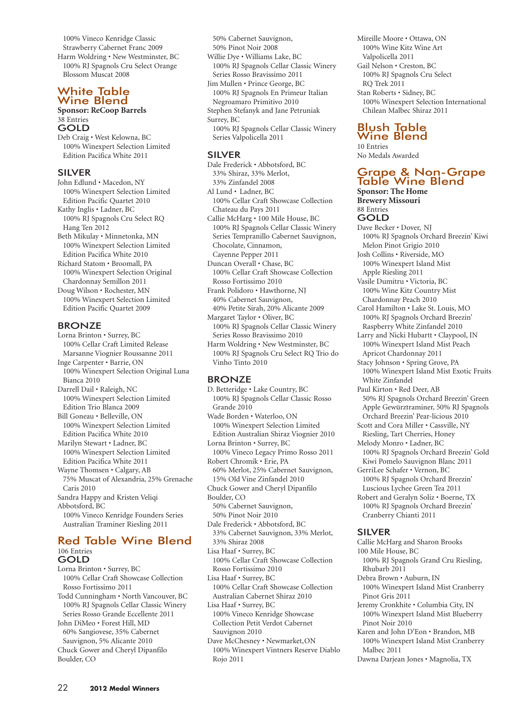100% Vineco Kenridge Classic Strawberry Cabernet Franc 2009 Harm Woldring • New Westminster, BC 100% RJ Spagnols Cru Select Orange Blossom Muscat 2008

#### White Table Wine Blend

### **Sponsor: ReCoop Barrels** 38 Entries

GOLD

Deb Craig • West Kelowna, BC 100% Winexpert Selection Limited Edition Pacifica White 2011

#### SILVER

John Edlund • Macedon, NY 100% Winexpert Selection Limited Edition Pacific Quartet 2010 Kathy Inglis • Ladner, BC 100% RJ Spagnols Cru Select RQ Hang Ten 2012 Beth Mikulay • Minnetonka, MN 100% Winexpert Selection Limited Edition Pacifica White 2010 Richard Statom • Broomall, PA 100% Winexpert Selection Original Chardonnay Semillon 2011 Doug Wilson • Rochester, MN

100% Winexpert Selection Limited Edition Pacific Quartet 2009

#### **BRONZE**

Lorna Brinton • Surrey, BC 100% Cellar Craft Limited Release Marsanne Viognier Roussanne 2011 Inge Carpenter • Barrie, ON 100% Winexpert Selection Original Luna Bianca 2010 Darrell Dail • Raleigh, NC 100% Winexpert Selection Limited Edition Trio Blanca 2009 Bill Goneau • Belleville, ON 100% Winexpert Selection Limited Edition Pacifica White 2010 Marilyn Stewart • Ladner, BC 100% Winexpert Selection Limited Edition Pacifica White 2011 Wayne Thomsen • Calgary, AB 75% Muscat of Alexandria, 25% Grenache Caris 2010 Sandra Happy and Kristen Veliqi Abbotsford, BC 100% Vineco Kenridge Founders Series Australian Traminer Riesling 2011

#### Red Table Wine Blend 106 Entries GOLD

Lorna Brinton • Surrey, BC 100% Cellar Craft Showcase Collection Rosso Fortissimo 2011 Todd Cunningham • North Vancouver, BC 100% RJ Spagnols Cellar Classic Winery Series Rosso Grande Eccellente 2011 John DiMeo • Forest Hill, MD 60% Sangiovese, 35% Cabernet Sauvignon, 5% Alicante 2010 Chuck Gower and Cheryl Dipanfilo Boulder, CO

50% Cabernet Sauvignon, 50% Pinot Noir 2008 Willie Dye • Williams Lake, BC 100% RJ Spagnols Cellar Classic Winery Series Rosso Bravissimo 2011 Jim Mullen • Prince George, BC 100% RJ Spagnols En Primeur Italian Negroamaro Primitivo 2010 Stephen Stefanyk and Jane Petruniak Surrey, BC 100% RJ Spagnols Cellar Classic Winery Series Valpolicella 2011

#### SILVER

Dale Frederick • Abbotsford, BC 33% Shiraz, 33% Merlot, 33% Zinfandel 2008 Al Lund • Ladner, BC 100% Cellar Craft Showcase Collection Chateau du Pays 2011 Callie McHarg • 100 Mile House, BC 100% RJ Spagnols Cellar Classic Winery Series Tempranillo Cabernet Sauvignon, Chocolate, Cinnamon, Cayenne Pepper 2011 Duncan Overall • Chase, BC 100% Cellar Craft Showcase Collection Rosso Fortissimo 2010 Frank Polidoro • Hawthorne, NJ 40% Cabernet Sauvignon,

40% Petite Sirah, 20% Alicante 2009 Margaret Taylor • Oliver, BC

100% RJ Spagnols Cellar Classic Winery Series Rosso Bravissimo 2010

Harm Woldring • New Westminster, BC 100% RJ Spagnols Cru Select RQ Trio do Vinho Tinto 2010

#### BRONZE

D. Betteridge • Lake Country, BC 100% RJ Spagnols Cellar Classic Rosso Grande 2010 Wade Borden • Waterloo, ON 100% Winexpert Selection Limited Edition Australian Shiraz Viognier 2010 Lorna Brinton • Surrey, BC 100% Vineco Legacy Primo Rosso 2011 Robert Chromik • Erie, PA 60% Merlot, 25% Cabernet Sauvignon, 15% Old Vine Zinfandel 2010 Chuck Gower and Cheryl Dipanfilo Boulder, CO 50% Cabernet Sauvignon, 50% Pinot Noir 2010 Dale Frederick • Abbotsford, BC 33% Cabernet Sauvignon, 33% Merlot, 33% Shiraz 2008 Lisa Haaf • Surrey, BC 100% Cellar Craft Showcase Collection Rosso Fortissimo 2010 Lisa Haaf • Surrey, BC 100% Cellar Craft Showcase Collection Australian Cabernet Shiraz 2010 Lisa Haaf • Surrey, BC 100% Vineco Kenridge Showcase Collection Petit Verdot Cabernet Sauvignon 2010 Dave McChesney • Newmarket,ON

100% Winexpert Vintners Reserve Diablo Rojo 2011

Mireille Moore • Ottawa, ON 100% Wine Kitz Wine Art Valpolicella 2011 Gail Nelson • Creston, BC 100% RJ Spagnols Cru Select RQ Trek 2011 Stan Roberts • Sidney, BC 100% Winexpert Selection International Chilean Malbec Shiraz 2011

## Blush Table Wine Blend

10 Entries No Medals Awarded

## Grape & Non-Grape Table Wine Blend

**Sponsor: The Home Brewery Missouri** 88 Entries

## GOLD

Dave Becker • Dover, NJ 100% RJ Spagnols Orchard Breezin' Kiwi Melon Pinot Grigio 2010 Josh Collins • Riverside, MO 100% Winexpert Island Mist Apple Riesling 2011 Vasile Dumitru • Victoria, BC 100% Wine Kitz Country Mist Chardonnay Peach 2010 Carol Hamilton • Lake St. Louis, MO 100% RJ Spagnols Orchard Breezin' Raspberry White Zinfandel 2010 Larry and Nicki Hubartt • Claypool, IN 100% Winexpert Island Mist Peach Apricot Chardonnay 2011 Stacy Johnson • Spring Grove, PA 100% Winexpert Island Mist Exotic Fruits White Zinfandel Paul Kirton • Red Deer, AB 50% RJ Spagnols Orchard Breezin' Green Apple Gewürztraminer, 50% RJ Spagnols Orchard Breezin' Pear-licious 2010 Scott and Cora Miller • Cassville, NY Riesling, Tart Cherries, Honey Melody Monro • Ladner, BC 100% RJ Spagnols Orchard Breezin' Gold Kiwi Pomelo Sauvignon Blanc 2011 GerriLee Schafer • Vernon, BC 100% RJ Spagnols Orchard Breezin' Luscious Lychee Green Tea 2011 Robert and Geralyn Soliz • Boerne, TX 100% RJ Spagnols Orchard Breezin' Cranberry Chianti 2011 SILVER Callie McHarg and Sharon Brooks 100 Mile House, BC 100% RJ Spagnols Grand Cru Riesling, Rhubarb 2011 Debra Brown • Auburn, IN 100% Winexpert Island Mist Cranberry Pinot Gris 2011

Jeremy Cronkhite • Columbia City, IN 100% Winexpert Island Mist Blueberry Pinot Noir 2010

Karen and John D'Eon • Brandon, MB 100% Winexpert Island Mist Cranberry Malbec 2011

Dawna Darjean Jones • Magnolia, TX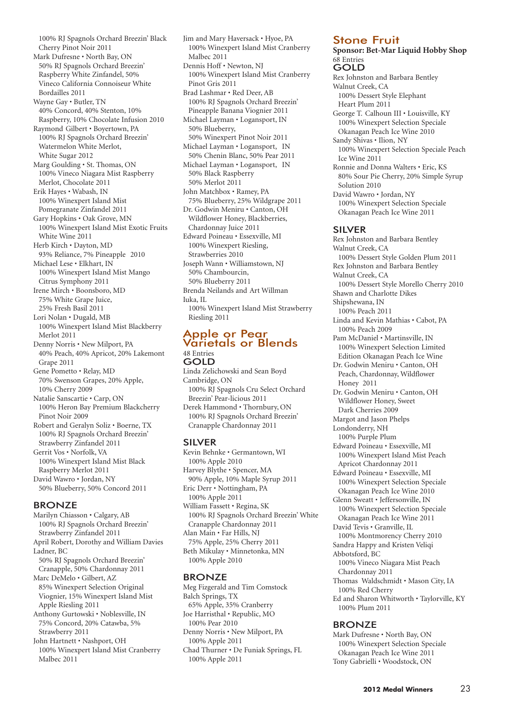100% RJ Spagnols Orchard Breezin' Black Cherry Pinot Noir 2011 Mark Dufresne • North Bay, ON 50% RJ Spagnols Orchard Breezin' Raspberry White Zinfandel, 50% Vineco California Connoiseur White Bordailles 2011 Wayne Gay • Butler, TN 40% Concord, 40% Stenton, 10% Raspberry, 10% Chocolate Infusion 2010 Raymond Gilbert • Boyertown, PA 100% RJ Spagnols Orchard Breezin' Watermelon White Merlot, White Sugar 2012 Marg Goulding • St. Thomas, ON 100% Vineco Niagara Mist Raspberry Merlot, Chocolate 2011 Erik Hayes • Wabash, IN 100% Winexpert Island Mist Pomegranate Zinfandel 2011 Gary Hopkins • Oak Grove, MN 100% Winexpert Island Mist Exotic Fruits White Wine 2011 Herb Kirch • Dayton, MD 93% Reliance, 7% Pineapple 2010 Michael Lese • Elkhart, IN 100% Winexpert Island Mist Mango Citrus Symphony 2011 Irene Mirch • Boonsboro, MD 75% White Grape Juice, 25% Fresh Basil 2011 Lori Nolan • Dugald, MB 100% Winexpert Island Mist Blackberry Merlot 2011 Denny Norris • New Milport, PA 40% Peach, 40% Apricot, 20% Lakemont Grape 2011 Gene Pometto • Relay, MD 70% Swenson Grapes, 20% Apple, 10% Cherry 2009 Natalie Sanscartie • Carp, ON 100% Heron Bay Premium Blackcherry Pinot Noir 2009 Robert and Geralyn Soliz • Boerne, TX 100% RJ Spagnols Orchard Breezin' Strawberry Zinfandel 2011 Gerrit Vos • Norfolk, VA 100% Winexpert Island Mist Black Raspberry Merlot 2011 David Wawro • Jordan, NY 50% Blueberry, 50% Concord 2011

#### BRONZE

Marilyn Chiasson • Calgary, AB 100% RJ Spagnols Orchard Breezin' Strawberry Zinfandel 2011 April Robert, Dorothy and William Davies Ladner, BC 50% RJ Spagnols Orchard Breezin' Cranapple, 50% Chardonnay 2011 Marc DeMelo • Gilbert, AZ 85% Winexpert Selection Original Viognier, 15% Winexpert Island Mist Apple Riesling 2011 Anthony Gurtowski • Noblesville, IN 75% Concord, 20% Catawba, 5% Strawberry 2011 John Hartnett • Nashport, OH

100% Winexpert Island Mist Cranberry Malbec 2011

Jim and Mary Haversack • Hyoe, PA 100% Winexpert Island Mist Cranberry Malbec 2011 Dennis Hoff • Newton, NJ 100% Winexpert Island Mist Cranberry Pinot Gris 2011 Brad Lashmar • Red Deer, AB 100% RJ Spagnols Orchard Breezin' Pineapple Banana Viognier 2011 Michael Layman • Logansport, IN 50% Blueberry, 50% Winexpert Pinot Noir 2011 Michael Layman • Logansport, IN 50% Chenin Blanc, 50% Pear 2011 Michael Layman • Logansport, IN 50% Black Raspberry 50% Merlot 2011 John Matchbox • Ramey, PA 75% Blueberry, 25% Wildgrape 2011 Dr. Godwin Meniru • Canton, OH Wildflower Honey, Blackberries, Chardonnay Juice 2011 Edward Poineau • Essexville, MI 100% Winexpert Riesling, Strawberries 2010 Joseph Wann • Williamstown, NJ 50% Chambourcin, 50% Blueberry 2011 Brenda Neilands and Art Willman Iuka, IL 100% Winexpert Island Mist Strawberry Riesling 2011

#### Apple or Pear Varietals or Blends 48 Entries GOLD

Linda Zelichowski and Sean Boyd Cambridge, ON 100% RJ Spagnols Cru Select Orchard Breezin' Pear-licious 2011 Derek Hammond • Thornbury, ON 100% RJ Spagnols Orchard Breezin' Cranapple Chardonnay 2011

#### SILVER

Kevin Behnke • Germantown, WI 100% Apple 2010 Harvey Blythe • Spencer, MA 90% Apple, 10% Maple Syrup 2011 Eric Derr • Nottingham, PA 100% Apple 2011 William Fassett • Regina, SK 100% RJ Spagnols Orchard Breezin' White Cranapple Chardonnay 2011 Alan Main • Far Hills, NJ 75% Apple, 25% Cherry 2011 Beth Mikulay • Minnetonka, MN 100% Apple 2010

#### BRONZE

Meg Fizgerald and Tim Comstock Balch Springs, TX 65% Apple, 35% Cranberry Joe Harristhal • Republic, MO 100% Pear 2010 Denny Norris • New Milport, PA 100% Apple 2011 Chad Thurner • De Funiak Springs, FL 100% Apple 2011

#### Stone Fruit

**Sponsor: Bet-Mar Liquid Hobby Shop** 68 Entries GOLD

Rex Johnston and Barbara Bentley Walnut Creek, CA 100% Dessert Style Elephant Heart Plum 2011 George T. Calhoun III • Louisville, KY 100% Winexpert Selection Speciale Okanagan Peach Ice Wine 2010 Sandy Shivas • Ilion, NY 100% Winexpert Selection Speciale Peach Ice Wine 2011 Ronnie and Donna Walters • Eric, KS 80% Sour Pie Cherry, 20% Simple Syrup Solution 2010 David Wawro • Jordan, NY 100% Winexpert Selection Speciale Okanagan Peach Ice Wine 2011 SILVER Rex Johnston and Barbara Bentley Walnut Creek, CA 100% Dessert Style Golden Plum 2011 Rex Johnston and Barbara Bentley

Walnut Creek, CA 100% Dessert Style Morello Cherry 2010 Shawn and Charlotte Dikes Shipshewana, IN 100% Peach 2011 Linda and Kevin Mathias • Cabot, PA 100% Peach 2009 Pam McDaniel • Martinsville, IN 100% Winexpert Selection Limited Edition Okanagan Peach Ice Wine Dr. Godwin Meniru • Canton, OH Peach, Chardonnay, Wildflower Honey 2011 Dr. Godwin Meniru • Canton, OH Wildflower Honey, Sweet Dark Cherries 2009 Margot and Jason Phelps Londonderry, NH 100% Purple Plum Edward Poineau • Essexville, MI 100% Winexpert Island Mist Peach Apricot Chardonnay 2011 Edward Poineau • Essexville, MI 100% Winexpert Selection Speciale Okanagan Peach Ice Wine 2010 Glenn Sweatt • Jeffersonville, IN 100% Winexpert Selection Speciale Okanagan Peach Ice Wine 2011 David Tevis • Granville, IL 100% Montmorency Cherry 2010 Sandra Happy and Kristen Veliqi Abbotsford, BC

100% Vineco Niagara Mist Peach Chardonnay 2011

- Thomas Waldschmidt Mason City, IA 100% Red Cherry
- Ed and Sharon Whitworth Taylorville, KY 100% Plum 2011

#### BRONZE

Mark Dufresne • North Bay, ON 100% Winexpert Selection Speciale Okanagan Peach Ice Wine 2011 Tony Gabrielli • Woodstock, ON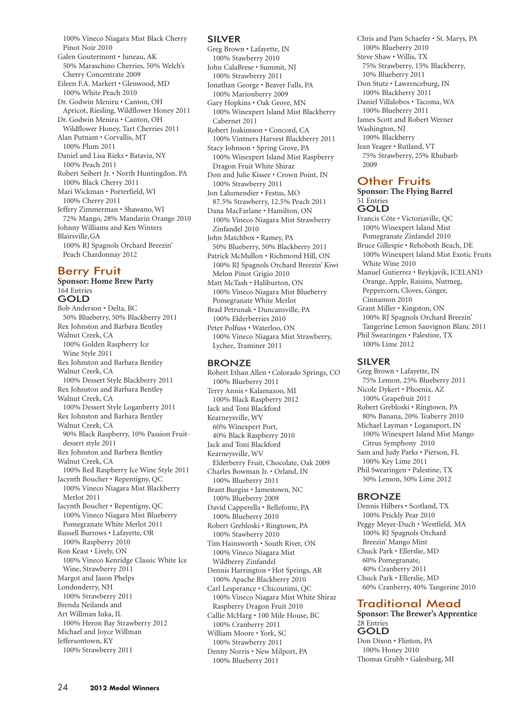100% Vineco Niagara Mist Black Cherry Pinot Noir 2010

Galen Goutermont • Juneau, AK 50% Maraschino Cherries, 50% Welch's Cherry Concentrate 2009 Eileen F.A. Markert • Glenwood, MD 100% White Peach 2010 Dr. Godwin Meniru • Canton, OH Apricot, Riesling, Wildflower Honey 2011 Dr. Godwin Meniru • Canton, OH Wildflower Honey, Tart Cherries 2011 Alan Putnam • Corvallis, MT 100% Plum 2011 Daniel and Lisa Rieks • Batavia, NY 100% Peach 2011 Robert Seibert Jr. • North Huntingdon, PA 100% Black Cherry 2011 Mari Wickman • Porterfield, WI 100% Cherry 2011 Jeffery Zimmerman • Shawano, WI 72% Mango, 28% Mandarin Orange 2010 Johnny Williams and Ken Winters Blairsville,GA 100% RJ Spagnols Orchard Breezin' Peach Chardonnay 2012

## Berry Fruit

**Sponsor: Home Brew Party** 164 Entries GOLD Bob Anderson • Delta, BC 50% Blueberry, 50% Blackberry 2011 Rex Johnston and Barbara Bentley Walnut Creek, CA 100% Golden Raspberry Ice Wine Style 2011 Rex Johnston and Barbara Bentley Walnut Creek, CA 100% Dessert Style Blackberry 2011 Rex Johnston and Barbara Bentley Walnut Creek, CA 100% Dessert Style Loganberry 2011 Rex Johnston and Barbara Bentley Walnut Creek, CA 90% Black Raspberry, 10% Passion Fruitdessert style 2011 Rex Johnston and Barbera Bentley Walnut Creek, CA 100% Red Raspberry Ice Wine Style 2011 Jacynth Boucher • Repentigny, QC 100% Vineco Niagara Mist Blackberry Merlot 2011 Jacynth Boucher • Repentigny, QC 100% Vineco Niagara Mist Blueberry Pomegranate White Merlot 2011 Russell Burrows • Lafayette, OR 100% Raspberry 2010 Ron Keast • Lively, ON 100% Vineco Kenridge Classic White Ice Wine, Strawberry 2011 Margot and Jason Phelps Londonderry, NH 100% Strawberry 2011 Brenda Neilands and Art Willman Iuka, IL 100% Heron Bay Strawberry 2012 Michael and Joyce Willman Jeffersontown, KY 100% Strawberry 2011

#### SILVER

Greg Brown • Lafayette, IN 100% Stawberry 2010 John CalaBrese • Summit, NJ 100% Strawberry 2011 Jonathan George • Beaver Falls, PA 100% Marionberry 2009 Gary Hopkins • Oak Grove, MN 100% Winexpert Island Mist Blackberry Cabernet 2011 Robert Joakimson • Concord, CA 100% Vintners Harvest Blackberry 2011 Stacy Johnson • Spring Grove, PA 100% Winexpert Island Mist Raspberry Dragon Fruit White Shiraz Don and Julie Kissee • Crown Point, IN 100% Strawberry 2011 Jon Lalumendier • Festus, MO 87.5% Strawberry, 12.5% Peach 2011 Dana MacFarlane • Hamilton, ON 100% Vineco Niagara Mist Strawberry Zinfandel 2010 John Matchbox • Ramey, PA 50% Blueberry, 50% Blackberry 2011 Patrick McMullon • Richmond Hill, ON 100% RJ Spagnols Orchard Breezin' Kiwi Melon Pinot Grigio 2010 Matt McTash • Haliburton, ON 100% Vineco Niagara Mist Blueberry Pomegranate White Merlot Brad Petrunak • Duncansville, PA 100% Elderberries 2010 Peter Polfuss • Waterloo, ON 100% Vineco Niagara Mist Strawberry, Lychee, Traminer 2011

#### BRONZE

Robert Ethan Allen • Colorado Springs, CO 100% Blueberry 2011 Terry Annis • Kalamazoo, MI 100% Black Raspberry 2012 Jack and Toni Blackford Kearneysville, WV 60% Winexpert Port, 40% Black Raspberry 2010 Jack and Toni Blackford Kearneysville, WV Elderberry Fruit, Chocolate, Oak 2009 Charles Bowman Jr. • Orland, IN 100% Blueberry 2011 Brant Burgiss • Jamestown, NC 100% Blueberry 2009 David Capperella • Bellefonte, PA 100% Blueberry 2010 Robert Grebloski • Ringtown, PA 100% Stawberry 2010 Tim Hainsworth • South River, ON 100% Vineco Niagara Mist Wildberry Zinfandel Dennis Harrington • Hot Springs, AR 100% Apache Blackberry 2010 Carl Lesperance • Chicoutimi, QC 100% Vineco Niagara Mist White Shiraz Raspberry Dragon Fruit 2010 Callie McHarg • 100 Mile House, BC 100% Cranberry 2011 William Moore • York, SC 100% Strawberry 2011 Denny Norris • New Milport, PA 100% Blueberry 2011

Chris and Pam Schaefer • St. Marys, PA 100% Blueberry 2010 Steve Shaw • Willis, TX 75% Strawberry, 15% Blackberry, 10% Blueberry 2011 Don Stutz • Lawrenceburg, IN 100% Blackberry 2011 Daniel Villalobos • Tacoma, WA 100% Blueberry 2011 James Scott and Robert Werner Washington, NJ 100% Blackberry Jean Yeager • Rutland, VT 75% Strawberry, 25% Rhubarb 2009

## Other Fruits

**Sponsor: The Flying Barrel** 51 Entries GOLD

Francis Côte • Victoriaville, QC 100% Winexpert Island Mist Pomegranate Zinfandel 2010 Bruce Gillespie • Rehoboth Beach, DE 100% Winexpert Island Mist Exotic Fruits White Wine 2010 Manuel Gutierrez • Reykjavik, ICELAND Orange, Apple, Raisins, Nutmeg, Peppercorn, Cloves, Ginger, Cinnamon 2010 Grant Miller • Kingston, ON 100% RJ Spagnols Orchard Breezin' Tangerine Lemon Sauvignon Blanc 2011 Phil Swearingen • Palestine, TX 100% Lime 2012

#### SILVER

Greg Brown • Lafayette, IN 75% Lemon, 25% Blueberry 2011 Nicole Dykert • Phoenix, AZ 100% Grapefruit 2011 Robert Grebloski • Ringtown, PA 80% Banana, 20% Teaberry 2010 Michael Layman • Logansport, IN 100% Winexpert Island Mist Mango Citrus Symphony 2010 Sam and Judy Parks • Pierson, FL 100% Key Lime 2011 Phil Swearingen • Palestine, TX 50% Lemon, 50% Lime 2012

#### BRONZE

Dennis Hilbers • Scotland, TX 100% Prickly Pear 2010 Peggy Meyer-Duch • Westfield, MA 100% RJ Spagnols Orchard Breezin' Mango Mint Chuck Park • Ellerslie, MD 60% Pomegranate, 40% Cranberry 2011 Chuck Park • Ellerslie, MD 60% Cranberry, 40% Tangerine 2010

## Traditional Mead

**Sponsor: The Brewer's Apprentice** 28 Entries GOLD

Don Dixon • Flinton, PA 100% Honey 2010 Thomas Grubb • Galesburg, MI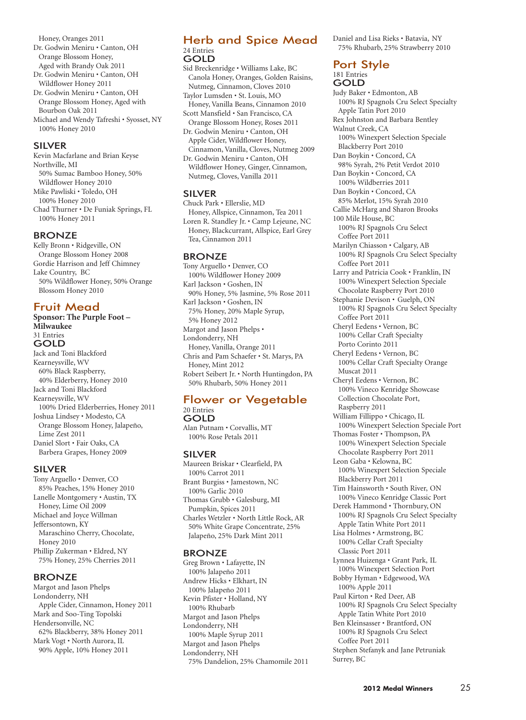Honey, Oranges 2011 Dr. Godwin Meniru • Canton, OH Orange Blossom Honey, Aged with Brandy Oak 2011 Dr. Godwin Meniru • Canton, OH Wildflower Honey 2011

Dr. Godwin Meniru • Canton, OH Orange Blossom Honey, Aged with Bourbon Oak 2011 Michael and Wendy Tafreshi • Syosset, NY

100% Honey 2010

#### SILVER

Kevin Macfarlane and Brian Keyse Northville, MI 50% Sumac Bamboo Honey, 50% Wildflower Honey 2010 Mike Pawliski • Toledo, OH 100% Honey 2010 Chad Thurner • De Funiak Springs, FL 100% Honey 2011

#### BRONZE

Kelly Bronn • Ridgeville, ON Orange Blossom Honey 2008 Gordie Harrison and Jeff Chimney Lake Country, BC 50% Wildflower Honey, 50% Orange Blossom Honey 2010

## Fruit Mead

**Sponsor: The Purple Foot – Milwaukee** 31 Entries GOLD Jack and Toni Blackford Kearneysville, WV 60% Black Raspberry, 40% Elderberry, Honey 2010 Jack and Toni Blackford Kearneysville, WV 100% Dried Elderberries, Honey 2011 Joshua Lindsey • Modesto, CA Orange Blossom Honey, Jalapeño, Lime Zest 2011 Daniel Slort • Fair Oaks, CA Barbera Grapes, Honey 2009

#### SILVER

Tony Arguello • Denver, CO 85% Peaches, 15% Honey 2010 Lanelle Montgomery • Austin, TX Honey, Lime Oil 2009 Michael and Joyce Willman Jeffersontown, KY Maraschino Cherry, Chocolate, Honey 2010 Phillip Zukerman • Eldred, NY 75% Honey, 25% Cherries 2011

#### BRONZE

Margot and Jason Phelps Londonderry, NH Apple Cider, Cinnamon, Honey 2011 Mark and Soo-Ting Topolski Hendersonville, NC 62% Blackberry, 38% Honey 2011 Mark Vogt • North Aurora, IL 90% Apple, 10% Honey 2011

#### Herb and Spice Mead 24 Entries GOLD

Sid Breckenridge • Williams Lake, BC Canola Honey, Oranges, Golden Raisins, Nutmeg, Cinnamon, Cloves 2010 Taylor Lumsden • St. Louis, MO Honey, Vanilla Beans, Cinnamon 2010 Scott Mansfield • San Francisco, CA Orange Blossom Honey, Roses 2011 Dr. Godwin Meniru • Canton, OH Apple Cider, Wildflower Honey, Cinnamon, Vanilla, Cloves, Nutmeg 2009 Dr. Godwin Meniru • Canton, OH Wildflower Honey, Ginger, Cinnamon, Nutmeg, Cloves, Vanilla 2011

#### SILVER

Chuck Park • Ellerslie, MD Honey, Allspice, Cinnamon, Tea 2011 Loren R. Standley Jr. • Camp Lejeune, NC Honey, Blackcurrant, Allspice, Earl Grey Tea, Cinnamon 2011

## **BRONZE**

Tony Arguello • Denver, CO 100% Wildflower Honey 2009 Karl Jackson • Goshen, IN 90% Honey, 5% Jasmine, 5% Rose 2011 Karl Jackson • Goshen, IN 75% Honey, 20% Maple Syrup, 5% Honey 2012 Margot and Jason Phelps • Londonderry, NH Honey, Vanilla, Orange 2011 Chris and Pam Schaefer • St. Marys, PA Honey, Mint 2012 Robert Seibert Jr. • North Huntingdon, PA 50% Rhubarb, 50% Honey 2011

#### Flower or Vegetable 20 Entries GOLD

Alan Putnam • Corvallis, MT 100% Rose Petals 2011

#### SILVER

Maureen Briskar • Clearfield, PA 100% Carrot 2011 Brant Burgiss • Jamestown, NC 100% Garlic 2010 Thomas Grubb • Galesburg, MI Pumpkin, Spices 2011 Charles Wetzler • North Little Rock, AR 50% White Grape Concentrate, 25% Jalapeño, 25% Dark Mint 2011

#### **BRONZE**

Greg Brown • Lafayette, IN 100% Jalapeño 2011 Andrew Hicks • Elkhart, IN 100% Jalapeño 2011 Kevin Pfister • Holland, NY 100% Rhubarb Margot and Jason Phelps Londonderry, NH 100% Maple Syrup 2011 Margot and Jason Phelps Londonderry, NH 75% Dandelion, 25% Chamomile 2011 Daniel and Lisa Rieks • Batavia, NY 75% Rhubarb, 25% Strawberry 2010

## Port Style

181 Entries

GOLD Judy Baker • Edmonton, AB 100% RJ Spagnols Cru Select Specialty Apple Tatin Port 2010 Rex Johnston and Barbara Bentley Walnut Creek, CA 100% Winexpert Selection Speciale Blackberry Port 2010 Dan Boykin • Concord, CA 98% Syrah, 2% Petit Verdot 2010 Dan Boykin • Concord, CA 100% Wildberries 2011 Dan Boykin • Concord, CA 85% Merlot, 15% Syrah 2010 Callie McHarg and Sharon Brooks 100 Mile House, BC 100% RJ Spagnols Cru Select Coffee Port 2011 Marilyn Chiasson • Calgary, AB 100% RJ Spagnols Cru Select Specialty Coffee Port 2011 Larry and Patricia Cook • Franklin, IN 100% Winexpert Selection Speciale Chocolate Raspberry Port 2010 Stephanie Devison • Guelph, ON 100% RJ Spagnols Cru Select Specialty Coffee Port 2011 Cheryl Eedens • Vernon, BC 100% Cellar Craft Specialty Porto Corinto 2011 Cheryl Eedens • Vernon, BC 100% Cellar Craft Specialty Orange Muscat 2011 Cheryl Eedens • Vernon, BC 100% Vineco Kenridge Showcase Collection Chocolate Port, Raspberry 2011 William Fillippo • Chicago, IL 100% Winexpert Selection Speciale Port Thomas Foster • Thompson, PA 100% Winexpert Selection Speciale Chocolate Raspberry Port 2011 Leon Gaba • Kelowna, BC 100% Winexpert Selection Speciale Blackberry Port 2011 Tim Hainsworth • South River, ON 100% Vineco Kenridge Classic Port Derek Hammond • Thornbury, ON 100% RJ Spagnols Cru Select Specialty Apple Tatin White Port 2011 Lisa Holmes • Armstrong, BC 100% Cellar Craft Specialty Classic Port 2011 Lynnea Huizenga • Grant Park, IL 100% Winexpert Selection Port Bobby Hyman • Edgewood, WA 100% Apple 2011 Paul Kirton • Red Deer, AB 100% RJ Spagnols Cru Select Specialty Apple Tatin White Port 2010 Ben Kleinsasser • Brantford, ON 100% RJ Spagnols Cru Select Coffee Port 2011 Stephen Stefanyk and Jane Petruniak Surrey, BC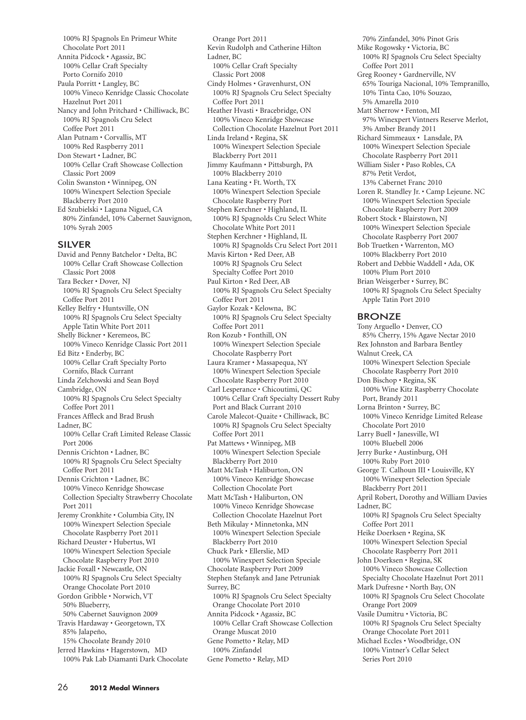100% RJ Spagnols En Primeur White Chocolate Port 2011 Annita Pidcock • Agassiz, BC 100% Cellar Craft Specialty Porto Cornifo 2010 Paula Porritt • Langley, BC 100% Vineco Kenridge Classic Chocolate Hazelnut Port 2011 Nancy and John Pritchard • Chilliwack, BC 100% RJ Spagnols Cru Select Coffee Port 2011 Alan Putnam • Corvallis, MT 100% Red Raspberry 2011 Don Stewart • Ladner, BC 100% Cellar Craft Showcase Collection Classic Port 2009 Colin Swanston • Winnipeg, ON 100% Winexpert Selection Speciale Blackberry Port 2010 Ed Szubielski • Laguna Niguel, CA 80% Zinfandel, 10% Cabernet Sauvignon, 10% Syrah 2005

#### SILVER

David and Penny Batchelor • Delta, BC 100% Cellar Craft Showcase Collection Classic Port 2008 Tara Becker • Dover, NJ 100% RJ Spagnols Cru Select Specialty Coffee Port 2011 Kelley Belfry • Huntsville, ON 100% RJ Spagnols Cru Select Specialty Apple Tatin White Port 2011 Shelly Bickner • Keremeos, BC 100% Vineco Kenridge Classic Port 2011 Ed Bitz • Enderby, BC 100% Cellar Craft Specialty Porto Cornifo, Black Currant Linda Zelchowski and Sean Boyd Cambridge, ON 100% RJ Spagnols Cru Select Specialty Coffee Port 2011 Frances Affleck and Brad Brush Ladner, BC 100% Cellar Craft Limited Release Classic Port 2006 Dennis Crichton • Ladner, BC 100% RJ Spagnols Cru Select Specialty Coffee Port 2011 Dennis Crichton • Ladner, BC 100% Vineco Kenridge Showcase Collection Specialty Strawberry Chocolate Port 2011 Jeremy Cronkhite • Columbia City, IN 100% Winexpert Selection Speciale Chocolate Raspberry Port 2011 Richard Deuster • Hubertus, WI 100% Winexpert Selection Speciale Chocolate Raspberry Port 2010 Jackie Foxall • Newcastle, ON 100% RJ Spagnols Cru Select Specialty Orange Chocolate Port 2010 Gordon Gribble • Norwich, VT 50% Blueberry, 50% Cabernet Sauvignon 2009 Travis Hardaway • Georgetown, TX 85% Jalapeño, 15% Chocolate Brandy 2010 Jerred Hawkins • Hagerstown, MD 100% Pak Lab Diamanti Dark Chocolate

Orange Port 2011 Kevin Rudolph and Catherine Hilton Ladner, BC 100% Cellar Craft Specialty Classic Port 2008 Cindy Holmes • Gravenhurst, ON 100% RJ Spagnols Cru Select Specialty Coffee Port 2011 Heather Hvasti • Bracebridge, ON 100% Vineco Kenridge Showcase Collection Chocolate Hazelnut Port 2011 Linda Ireland • Regina, SK 100% Winexpert Selection Speciale Blackberry Port 2011 Jimmy Kaufmann • Pittsburgh, PA 100% Blackberry 2010 Lana Keating • Ft. Worth, TX 100% Winexpert Selection Speciale Chocolate Raspberry Port Stephen Kerchner • Highland, IL 100% RJ Spagnolds Cru Select White Chocolate White Port 2011 Stephen Kerchner • Highland, IL 100% RJ Spagnolds Cru Select Port 2011 Mavis Kirton • Red Deer, AB 100% RJ Spagnols Cru Select Specialty Coffee Port 2010 Paul Kirton • Red Deer, AB 100% RJ Spagnols Cru Select Specialty Coffee Port 2011 Gaylor Kozak • Kelowna, BC 100% RJ Spagnols Cru Select Specialty Coffee Port 2011 Ron Kozub • Fonthill, ON 100% Winexpert Selection Speciale Chocolate Raspberry Port Laura Kramer • Massapequa, NY 100% Winexpert Selection Speciale Chocolate Raspberry Port 2010 Carl Lesperance • Chicoutimi, QC 100% Cellar Craft Specialty Dessert Ruby Port and Black Currant 2010 Carole Malecot-Quaite • Chilliwack, BC 100% RJ Spagnols Cru Select Specialty Coffee Port 2011 Pat Mattews • Winnipeg, MB 100% Winexpert Selection Speciale Blackberry Port 2010 Matt McTash • Haliburton, ON 100% Vineco Kenridge Showcase Collection Chocolate Port Matt McTash • Haliburton, ON 100% Vineco Kenridge Showcase Collection Chocolate Hazelnut Port Beth Mikulay • Minnetonka, MN 100% Winexpert Selection Speciale Blackberry Port 2010 Chuck Park • Ellerslie, MD 100% Winexpert Selection Speciale Chocolate Raspberry Port 2009 Stephen Stefanyk and Jane Petruniak Surrey, BC 100% RJ Spagnols Cru Select Specialty Orange Chocolate Port 2010 Annita Pidcock • Agassiz, BC 100% Cellar Craft Showcase Collection Orange Muscat 2010 Gene Pometto • Relay, MD 100% Zinfandel Gene Pometto • Relay, MD

70% Zinfandel, 30% Pinot Gris Mike Rogowsky • Victoria, BC 100% RJ Spagnols Cru Select Specialty Coffee Port 2011 Greg Rooney • Gardnerville, NV 65% Touriga Nacional, 10% Tempranillo, 10% Tinta Cao, 10% Souzao, 5% Amarella 2010 Matt Sherrow • Fenton, MI 97% Winexpert Vintners Reserve Merlot, 3% Amber Brandy 2011 Richard Simmeaux • Lansdale, PA 100% Winexpert Selection Speciale Chocolate Raspberry Port 2011 William Sisler • Paso Robles, CA 87% Petit Verdot, 13% Cabernet Franc 2010 Loren R. Standley Jr. • Camp Lejeune. NC 100% Winexpert Selection Speciale Chocolate Raspberry Port 2009 Robert Stock • Blairstown, NJ 100% Winexpert Selection Speciale Chocolate Raspberry Port 2007 Bob Truetken • Warrenton, MO 100% Blackberry Port 2010 Robert and Debbie Waddell • Ada, OK 100% Plum Port 2010 Brian Weisgerber • Surrey, BC 100% RJ Spagnols Cru Select Specialty Apple Tatin Port 2010 BRONZE Tony Arguello • Denver, CO 85% Cherry, 15% Agave Nectar 2010 Rex Johnston and Barbara Bentley Walnut Creek, CA 100% Winexpert Selection Speciale Chocolate Raspberry Port 2010 Don Bischop • Regina, SK 100% Wine Kitz Raspberry Chocolate Port, Brandy 2011 Lorna Brinton • Surrey, BC 100% Vineco Kenridge Limited Release Chocolate Port 2010 Larry Buell • Janesville, WI 100% Bluebell 2006 Jerry Burke • Austinburg, OH 100% Ruby Port 2010 George T. Calhoun III • Louisville, KY 100% Winexpert Selection Speciale Blackberry Port 2011 April Robert, Dorothy and William Davies Ladner, BC 100% RJ Spagnols Cru Select Specialty Coffee Port 2011 Heike Doerksen • Regina, SK 100% Winexpert Selection Special Chocolate Raspberry Port 2011 John Doerksen • Regina, SK 100% Vineco Showcase Collection Specialty Chocolate Hazelnut Port 2011 Mark Dufresne • North Bay, ON 100% RJ Spagnols Cru Select Chocolate Orange Port 2009 Vasile Dumitru • Victoria, BC 100% RJ Spagnols Cru Select Specialty Orange Chocolate Port 2011 Michael Eccles • Woodbridge, ON 100% Vintner's Cellar Select Series Port 2010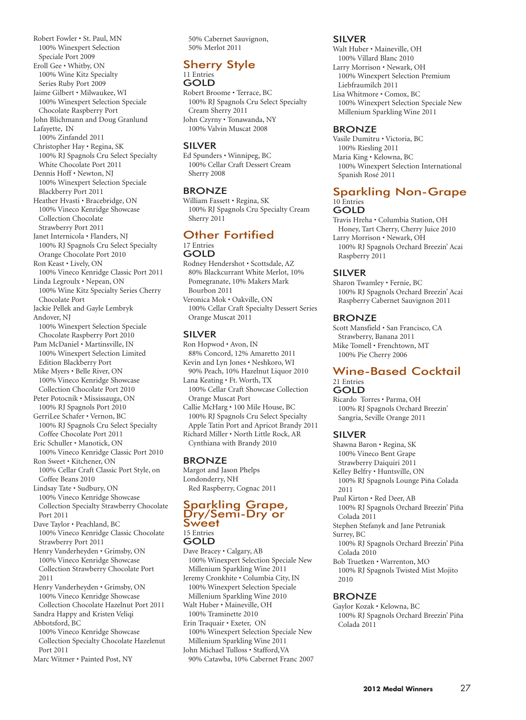Robert Fowler • St. Paul, MN 100% Winexpert Selection Speciale Port 2009 Eroll Gee • Whitby, ON 100% Wine Kitz Specialty Series Ruby Port 2009 Jaime Gilbert • Milwaukee, WI 100% Winexpert Selection Speciale Chocolate Raspberry Port John Blichmann and Doug Granlund Lafayette, IN 100% Zinfandel 2011 Christopher Hay • Regina, SK 100% RJ Spagnols Cru Select Specialty White Chocolate Port 2011 Dennis Hoff • Newton, NJ 100% Winexpert Selection Speciale Blackberry Port 2011 Heather Hvasti • Bracebridge, ON 100% Vineco Kenridge Showcase Collection Chocolate Strawberry Port 2011 Janet Internicola • Flanders, NJ 100% RJ Spagnols Cru Select Specialty Orange Chocolate Port 2010 Ron Keast • Lively, ON 100% Vineco Kenridge Classic Port 2011 Linda Legroulx • Nepean, ON 100% Wine Kitz Specialty Series Cherry Chocolate Port Jackie Pellek and Gayle Lembryk Andover, NJ 100% Winexpert Selection Speciale Chocolate Raspberry Port 2010 Pam McDaniel • Martinsville, IN 100% Winexpert Selection Limited Edition Blackberry Port Mike Myers • Belle River, ON 100% Vineco Kenridge Showcase Collection Chocolate Port 2010 Peter Potocnik • Mississauga, ON 100% RJ Spagnols Port 2010 GerriLee Schafer • Vernon, BC 100% RJ Spagnols Cru Select Specialty Coffee Chocolate Port 2011 Eric Schuller • Manotick, ON 100% Vineco Kenridge Classic Port 2010 Ron Sweet • Kitchener, ON 100% Cellar Craft Classic Port Style, on Coffee Beans 2010 Lindsay Tate • Sudbury, ON 100% Vineco Kenridge Showcase Collection Specialty Strawberry Chocolate Port 2011 Dave Taylor • Peachland, BC 100% Vineco Kenridge Classic Chocolate Strawberry Port 2011 Henry Vanderheyden • Grimsby, ON 100% Vineco Kenridge Showcase Collection Strawberry Chocolate Port 2011 Henry Vanderheyden • Grimsby, ON 100% Vineco Kenridge Showcase Collection Chocolate Hazelnut Port 2011 Sandra Happy and Kristen Veliqi Abbotsford, BC 100% Vineco Kenridge Showcase

Collection Specialty Chocolate Hazelenut Port 2011

Marc Witmer • Painted Post, NY

50% Cabernet Sauvignon, 50% Merlot 2011

## Sherry Style

#### 11 Entries GOLD

Robert Broome • Terrace, BC 100% RJ Spagnols Cru Select Specialty Cream Sherry 2011 John Czyrny • Tonawanda, NY 100% Valvin Muscat 2008

## SILVER

Ed Spunders • Winnipeg, BC 100% Cellar Craft Dessert Cream Sherry 2008

## BRONZE

William Fassett • Regina, SK 100% RJ Spagnols Cru Specialty Cream Sherry 2011

#### Other Fortified 17 Entries GOLD

Rodney Hendershot • Scottsdale, AZ 80% Blackcurrant White Merlot, 10% Pomegranate, 10% Makers Mark Bourbon 2011 Veronica Mok • Oakville, ON 100% Cellar Craft Specialty Dessert Series Orange Muscat 2011

## SILVER

Ron Hopwod • Avon, IN 88% Concord, 12% Amaretto 2011 Kevin and Lyn Jones • Neshkoro, WI

- 90% Peach, 10% Hazelnut Liquor 2010 Lana Keating • Ft. Worth, TX
- 100% Cellar Craft Showcase Collection Orange Muscat Port

Callie McHarg • 100 Mile House, BC 100% RJ Spagnols Cru Select Specialty Apple Tatin Port and Apricot Brandy 2011 Richard Miller • North Little Rock, AR Cynthiana with Brandy 2010

## BRONZE

Margot and Jason Phelps Londonderry, NH Red Raspberry, Cognac 2011

#### Sparkling Grape, Dry/Semi-Dry or Sweet 15 Entries

## GOLD

Dave Bracey • Calgary, AB 100% Winexpert Selection Speciale New Millenium Sparkling Wine 2011 Jeremy Cronkhite • Columbia City, IN 100% Winexpert Selection Speciale Millenium Sparkling Wine 2010 Walt Huber • Maineville, OH 100% Traminette 2010 Erin Traquair • Exeter, ON 100% Winexpert Selection Speciale New Millenium Sparkling Wine 2011 John Michael Tulloss • Stafford,VA

90% Catawba, 10% Cabernet Franc 2007

## SILVER

Walt Huber • Maineville, OH 100% Villard Blanc 2010 Larry Morrison • Newark, OH 100% Winexpert Selection Premium Liebfraumilch 2011

Lisa Whitmore • Comox, BC 100% Winexpert Selection Speciale New Millenium Sparkling Wine 2011

## BRONZE

Vasile Dumitru • Victoria, BC 100% Riesling 2011 Maria King • Kelowna, BC 100% Winexpert Selection International Spanish Rosé 2011

#### Sparkling Non-Grape 10 Entries

## GOLD

Travis Hreha • Columbia Station, OH Honey, Tart Cherry, Cherry Juice 2010 Larry Morrison • Newark, OH 100% RJ Spagnols Orchard Breezin' Acai Raspberry 2011

## SILVER

Sharon Twamley • Fernie, BC 100% RJ Spagnols Orchard Breezin' Acai Raspberry Cabernet Sauvignon 2011

## BRONZE

Scott Mansfield • San Francisco, CA Strawberry, Banana 2011 Mike Tomell • Frenchtown, MT

100% Pie Cherry 2006

#### Wine-Based Cocktail 21 Entries GOLD

Ricardo Torres • Parma, OH 100% RJ Spagnols Orchard Breezin' Sangria, Seville Orange 2011

## SILVER

Shawna Baron • Regina, SK 100% Vineco Bent Grape Strawberry Daiquiri 2011 Kelley Belfry • Huntsville, ON 100% RJ Spagnols Lounge Piña Colada 2011 Paul Kirton • Red Deer, AB 100% RJ Spagnols Orchard Breezin' Piña Colada 2011 Stephen Stefanyk and Jane Petruniak Surrey, BC 100% RJ Spagnols Orchard Breezin' Piña Colada 2010 Bob Truetken • Warrenton, MO 100% RJ Spagnols Twisted Mist Mojito 2010

## BRONZE

Gaylor Kozak • Kelowna, BC 100% RJ Spagnols Orchard Breezin' Piña Colada 2011